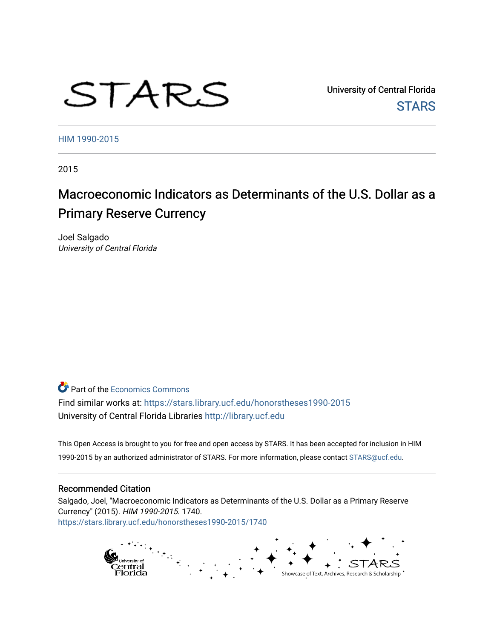# STARS

University of Central Florida **STARS** 

[HIM 1990-2015](https://stars.library.ucf.edu/honorstheses1990-2015) 

2015

# Macroeconomic Indicators as Determinants of the U.S. Dollar as a Primary Reserve Currency

Joel Salgado University of Central Florida

**P** Part of the [Economics Commons](http://network.bepress.com/hgg/discipline/340?utm_source=stars.library.ucf.edu%2Fhonorstheses1990-2015%2F1740&utm_medium=PDF&utm_campaign=PDFCoverPages) Find similar works at: <https://stars.library.ucf.edu/honorstheses1990-2015>

University of Central Florida Libraries [http://library.ucf.edu](http://library.ucf.edu/) 

This Open Access is brought to you for free and open access by STARS. It has been accepted for inclusion in HIM 1990-2015 by an authorized administrator of STARS. For more information, please contact [STARS@ucf.edu](mailto:STARS@ucf.edu).

## Recommended Citation

Salgado, Joel, "Macroeconomic Indicators as Determinants of the U.S. Dollar as a Primary Reserve Currency" (2015). HIM 1990-2015. 1740. [https://stars.library.ucf.edu/honorstheses1990-2015/1740](https://stars.library.ucf.edu/honorstheses1990-2015/1740?utm_source=stars.library.ucf.edu%2Fhonorstheses1990-2015%2F1740&utm_medium=PDF&utm_campaign=PDFCoverPages) 

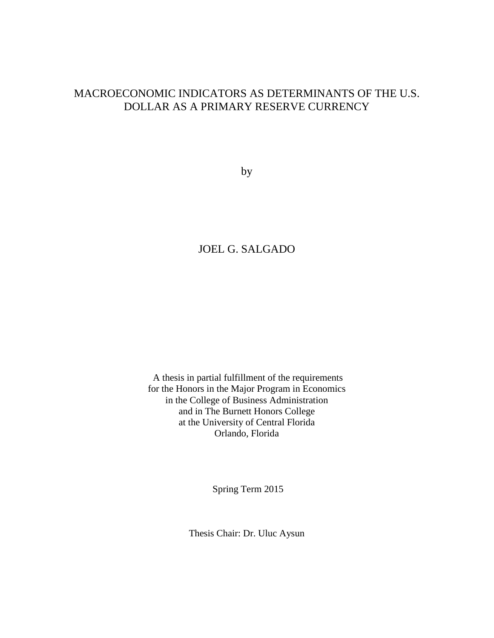# MACROECONOMIC INDICATORS AS DETERMINANTS OF THE U.S. DOLLAR AS A PRIMARY RESERVE CURRENCY

by

# JOEL G. SALGADO

A thesis in partial fulfillment of the requirements for the Honors in the Major Program in Economics in the College of Business Administration and in The Burnett Honors College at the University of Central Florida Orlando, Florida

Spring Term 2015

Thesis Chair: Dr. Uluc Aysun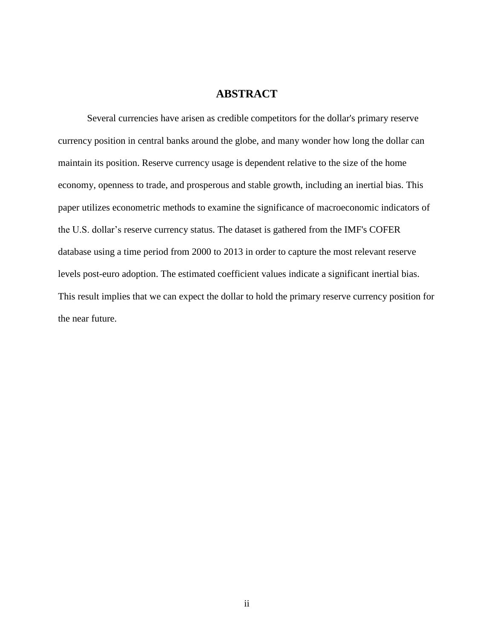# **ABSTRACT**

Several currencies have arisen as credible competitors for the dollar's primary reserve currency position in central banks around the globe, and many wonder how long the dollar can maintain its position. Reserve currency usage is dependent relative to the size of the home economy, openness to trade, and prosperous and stable growth, including an inertial bias. This paper utilizes econometric methods to examine the significance of macroeconomic indicators of the U.S. dollar's reserve currency status. The dataset is gathered from the IMF's COFER database using a time period from 2000 to 2013 in order to capture the most relevant reserve levels post-euro adoption. The estimated coefficient values indicate a significant inertial bias. This result implies that we can expect the dollar to hold the primary reserve currency position for the near future.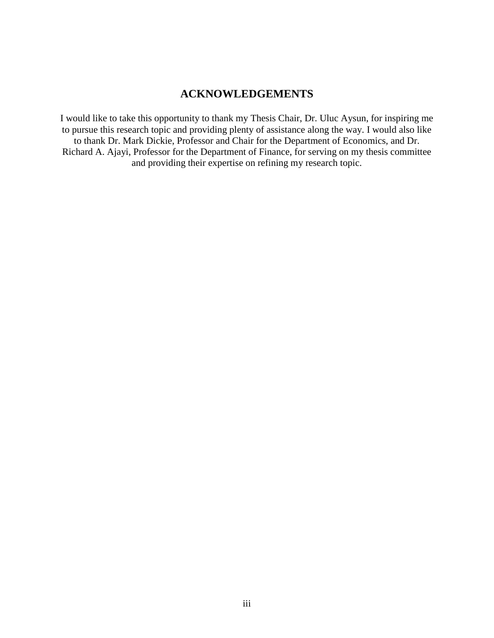# **ACKNOWLEDGEMENTS**

I would like to take this opportunity to thank my Thesis Chair, Dr. Uluc Aysun, for inspiring me to pursue this research topic and providing plenty of assistance along the way. I would also like to thank Dr. Mark Dickie, Professor and Chair for the Department of Economics, and Dr. Richard A. Ajayi, Professor for the Department of Finance, for serving on my thesis committee and providing their expertise on refining my research topic.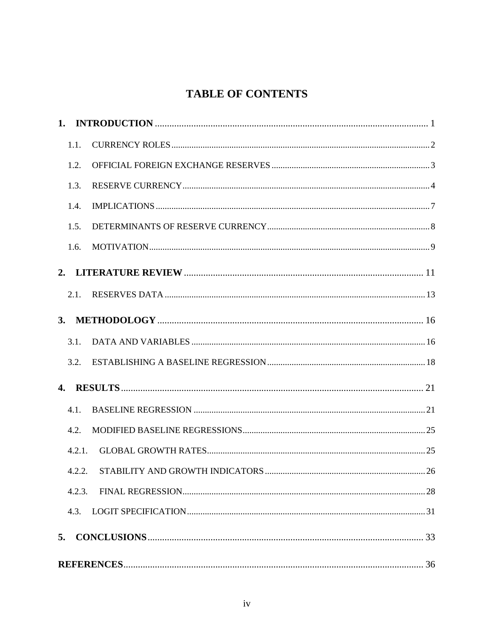# **TABLE OF CONTENTS**

| 1.                        |        |  |
|---------------------------|--------|--|
|                           | 1.1.   |  |
|                           | 1.2.   |  |
|                           | 1.3.   |  |
|                           | 1.4.   |  |
|                           | 1.5.   |  |
|                           | 1.6.   |  |
| 2.                        |        |  |
|                           | 2.1.   |  |
| 3.                        |        |  |
|                           | 3.1.   |  |
|                           | 3.2.   |  |
| $\mathbf{4}_{\mathbf{1}}$ |        |  |
|                           | 4.1.   |  |
|                           | 4.2.   |  |
|                           | 4.2.1. |  |
|                           | 4.2.2. |  |
|                           | 4.2.3. |  |
|                           | 4.3.   |  |
| 5.                        |        |  |
|                           |        |  |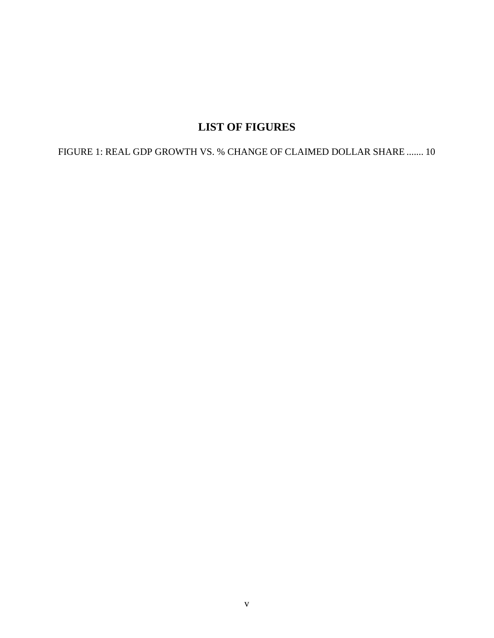# **LIST OF FIGURES**

FIGURE 1: REAL GDP GROWTH VS. % CHANGE OF CLAIMED DOLLAR SHARE ....... [10](#page-16-0)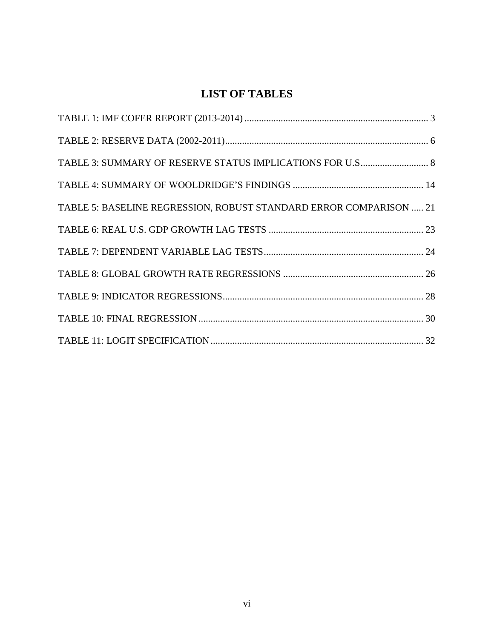# **LIST OF TABLES**

| TABLE 5: BASELINE REGRESSION, ROBUST STANDARD ERROR COMPARISON  21 |
|--------------------------------------------------------------------|
|                                                                    |
|                                                                    |
|                                                                    |
|                                                                    |
|                                                                    |
|                                                                    |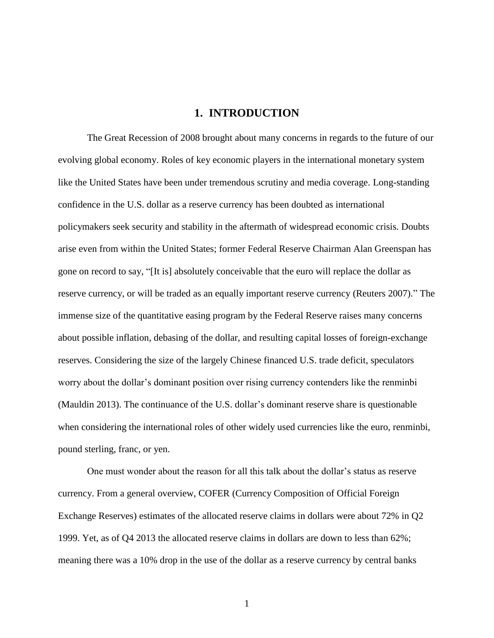## **1. INTRODUCTION**

<span id="page-7-0"></span>The Great Recession of 2008 brought about many concerns in regards to the future of our evolving global economy. Roles of key economic players in the international monetary system like the United States have been under tremendous scrutiny and media coverage. Long-standing confidence in the U.S. dollar as a reserve currency has been doubted as international policymakers seek security and stability in the aftermath of widespread economic crisis. Doubts arise even from within the United States; former Federal Reserve Chairman Alan Greenspan has gone on record to say, "[It is] absolutely conceivable that the euro will replace the dollar as reserve currency, or will be traded as an equally important reserve currency (Reuters 2007)." The immense size of the quantitative easing program by the Federal Reserve raises many concerns about possible inflation, debasing of the dollar, and resulting capital losses of foreign-exchange reserves. Considering the size of the largely Chinese financed U.S. trade deficit, speculators worry about the dollar's dominant position over rising currency contenders like the renminbi (Mauldin 2013). The continuance of the U.S. dollar's dominant reserve share is questionable when considering the international roles of other widely used currencies like the euro, renminbi, pound sterling, franc, or yen.

One must wonder about the reason for all this talk about the dollar's status as reserve currency. From a general overview, COFER (Currency Composition of Official Foreign Exchange Reserves) estimates of the allocated reserve claims in dollars were about 72% in Q2 1999. Yet, as of Q4 2013 the allocated reserve claims in dollars are down to less than 62%; meaning there was a 10% drop in the use of the dollar as a reserve currency by central banks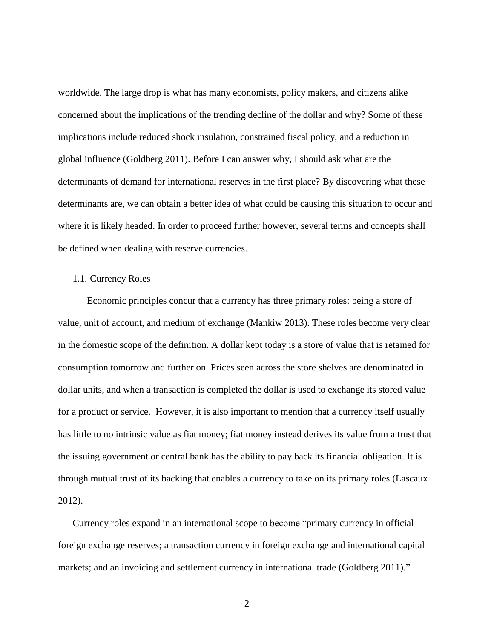<span id="page-8-0"></span>worldwide. The large drop is what has many economists, policy makers, and citizens alike concerned about the implications of the trending decline of the dollar and why? Some of these implications include reduced shock insulation, constrained fiscal policy, and a reduction in global influence (Goldberg 2011). Before I can answer why, I should ask what are the determinants of demand for international reserves in the first place? By discovering what these determinants are, we can obtain a better idea of what could be causing this situation to occur and where it is likely headed. In order to proceed further however, several terms and concepts shall be defined when dealing with reserve currencies.

#### 1.1. Currency Roles

Economic principles concur that a currency has three primary roles: being a store of value, unit of account, and medium of exchange (Mankiw 2013). These roles become very clear in the domestic scope of the definition. A dollar kept today is a store of value that is retained for consumption tomorrow and further on. Prices seen across the store shelves are denominated in dollar units, and when a transaction is completed the dollar is used to exchange its stored value for a product or service. However, it is also important to mention that a currency itself usually has little to no intrinsic value as fiat money; fiat money instead derives its value from a trust that the issuing government or central bank has the ability to pay back its financial obligation. It is through mutual trust of its backing that enables a currency to take on its primary roles (Lascaux 2012).

Currency roles expand in an international scope to become "primary currency in official foreign exchange reserves; a transaction currency in foreign exchange and international capital markets; and an invoicing and settlement currency in international trade (Goldberg 2011)."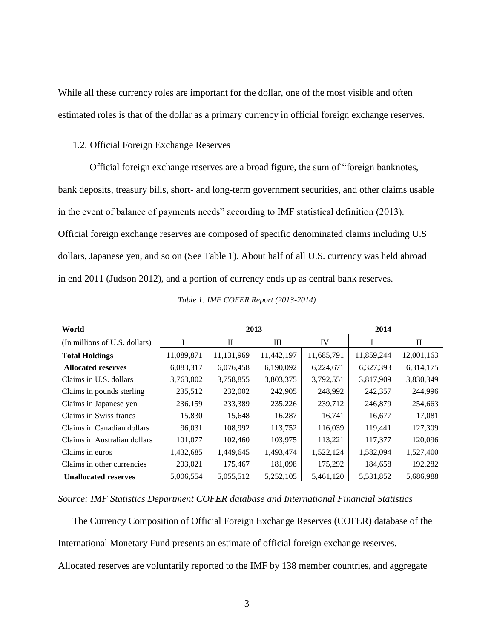<span id="page-9-0"></span>While all these currency roles are important for the dollar, one of the most visible and often estimated roles is that of the dollar as a primary currency in official foreign exchange reserves.

#### 1.2. Official Foreign Exchange Reserves

Official foreign exchange reserves are a broad figure, the sum of "foreign banknotes, bank deposits, treasury bills, short- and long-term government securities, and other claims usable in the event of balance of payments needs" according to IMF statistical definition (2013). Official foreign exchange reserves are composed of specific denominated claims including U.S dollars, Japanese yen, and so on (See Table 1). About half of all U.S. currency was held abroad in end 2011 (Judson 2012), and a portion of currency ends up as central bank reserves.

| World                         |            | 2013       | 2014       |            |            |            |
|-------------------------------|------------|------------|------------|------------|------------|------------|
| (In millions of U.S. dollars) |            | П          | Ш          | IV         |            | П          |
| <b>Total Holdings</b>         | 11,089,871 | 11,131,969 | 11,442,197 | 11,685,791 | 11,859,244 | 12,001,163 |
| <b>Allocated reserves</b>     | 6,083,317  | 6,076,458  | 6,190,092  | 6,224,671  | 6,327,393  | 6,314,175  |
| Claims in U.S. dollars        | 3,763,002  | 3,758,855  | 3,803,375  | 3,792,551  | 3,817,909  | 3,830,349  |
| Claims in pounds sterling     | 235,512    | 232,002    | 242,905    | 248,992    | 242,357    | 244,996    |
| Claims in Japanese yen        | 236,159    | 233,389    | 235,226    | 239,712    | 246,879    | 254,663    |
| Claims in Swiss francs        | 15,830     | 15,648     | 16,287     | 16,741     | 16,677     | 17,081     |
| Claims in Canadian dollars    | 96,031     | 108,992    | 113,752    | 116,039    | 119,441    | 127,309    |
| Claims in Australian dollars  | 101,077    | 102,460    | 103,975    | 113,221    | 117,377    | 120,096    |
| Claims in euros               | 1,432,685  | 1,449,645  | 1,493,474  | 1,522,124  | 1,582,094  | 1,527,400  |
| Claims in other currencies    | 203,021    | 175,467    | 181,098    | 175,292    | 184,658    | 192,282    |
| <b>Unallocated reserves</b>   | 5,006,554  | 5,055,512  | 5,252,105  | 5,461,120  | 5,531,852  | 5,686,988  |

*Table 1: IMF COFER Report (2013-2014)*

*Source: IMF Statistics Department COFER database and International Financial Statistics*

The Currency Composition of Official Foreign Exchange Reserves (COFER) database of the International Monetary Fund presents an estimate of official foreign exchange reserves.

Allocated reserves are voluntarily reported to the IMF by 138 member countries, and aggregate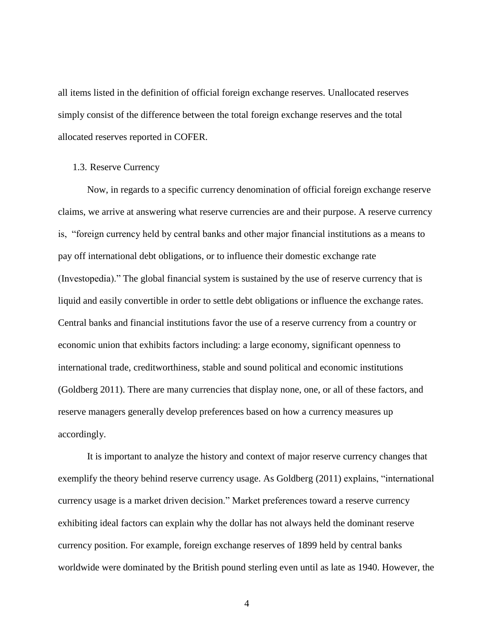<span id="page-10-0"></span>all items listed in the definition of official foreign exchange reserves. Unallocated reserves simply consist of the difference between the total foreign exchange reserves and the total allocated reserves reported in COFER.

#### 1.3. Reserve Currency

Now, in regards to a specific currency denomination of official foreign exchange reserve claims, we arrive at answering what reserve currencies are and their purpose. A reserve currency is, "foreign currency held by central banks and other major financial institutions as a means to pay off international debt obligations, or to influence their domestic exchange rate (Investopedia)." The global financial system is sustained by the use of reserve currency that is liquid and easily convertible in order to settle debt obligations or influence the exchange rates. Central banks and financial institutions favor the use of a reserve currency from a country or economic union that exhibits factors including: a large economy, significant openness to international trade, creditworthiness, stable and sound political and economic institutions (Goldberg 2011). There are many currencies that display none, one, or all of these factors, and reserve managers generally develop preferences based on how a currency measures up accordingly.

It is important to analyze the history and context of major reserve currency changes that exemplify the theory behind reserve currency usage. As Goldberg (2011) explains, "international currency usage is a market driven decision." Market preferences toward a reserve currency exhibiting ideal factors can explain why the dollar has not always held the dominant reserve currency position. For example, foreign exchange reserves of 1899 held by central banks worldwide were dominated by the British pound sterling even until as late as 1940. However, the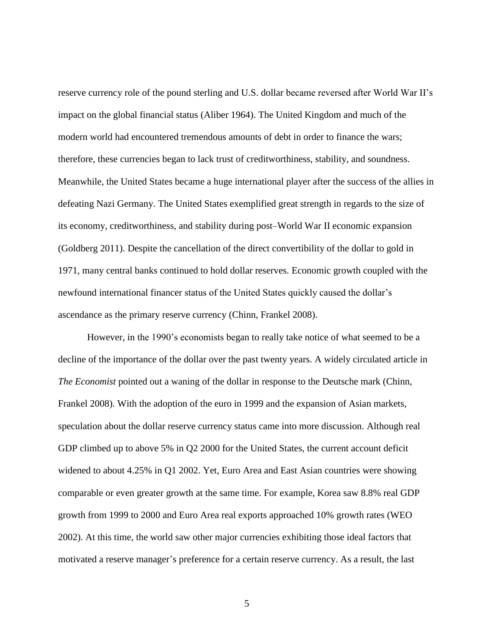reserve currency role of the pound sterling and U.S. dollar became reversed after World War II's impact on the global financial status (Aliber 1964). The United Kingdom and much of the modern world had encountered tremendous amounts of debt in order to finance the wars; therefore, these currencies began to lack trust of creditworthiness, stability, and soundness. Meanwhile, the United States became a huge international player after the success of the allies in defeating Nazi Germany. The United States exemplified great strength in regards to the size of its economy, creditworthiness, and stability during post–World War II economic expansion (Goldberg 2011). Despite the cancellation of the direct convertibility of the dollar to gold in 1971, many central banks continued to hold dollar reserves. Economic growth coupled with the newfound international financer status of the United States quickly caused the dollar's ascendance as the primary reserve currency (Chinn, Frankel 2008).

However, in the 1990's economists began to really take notice of what seemed to be a decline of the importance of the dollar over the past twenty years. A widely circulated article in *The Economist* pointed out a waning of the dollar in response to the Deutsche mark (Chinn, Frankel 2008). With the adoption of the euro in 1999 and the expansion of Asian markets, speculation about the dollar reserve currency status came into more discussion. Although real GDP climbed up to above 5% in Q2 2000 for the United States, the current account deficit widened to about 4.25% in Q1 2002. Yet, Euro Area and East Asian countries were showing comparable or even greater growth at the same time. For example, Korea saw 8.8% real GDP growth from 1999 to 2000 and Euro Area real exports approached 10% growth rates (WEO 2002). At this time, the world saw other major currencies exhibiting those ideal factors that motivated a reserve manager's preference for a certain reserve currency. As a result, the last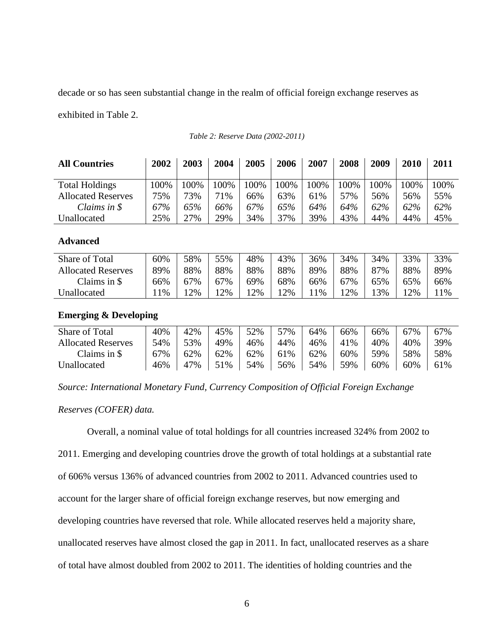<span id="page-12-0"></span>decade or so has seen substantial change in the realm of official foreign exchange reserves as

exhibited in Table 2.

| <b>All Countries</b>      | 2002 | 2003 | 2004 | 2005 | 2006 | 2007 | 2008 | 2009 | 2010 | 2011 |
|---------------------------|------|------|------|------|------|------|------|------|------|------|
| <b>Total Holdings</b>     | 100% | 100% | 100% | 100% | 00%  | 100% | 100% | 100% | 100% | 100% |
| <b>Allocated Reserves</b> | 75%  | 73%  | 71%  | 66%  | 63%  | 61%  | 57%  | 56%  | 56%  | 55%  |
| Claims in $\mathcal S$    | 67%  | 65%  | 66%  | 67%  | 65%  | 64%  | 64%  | 62%  | 62%  | 62%  |
| Unallocated               | 25%  | 27%  | 29%  | 34%  | 37%  | 39%  | 43%  | 44%  | 44%  | 45%  |

*Table 2: Reserve Data (2002-2011)*

## **Advanced**

| Share of Total            | 60%   | 58% | 55%   | 48% | 43% | 36%   | 34% | 34% | 33% | 33% |
|---------------------------|-------|-----|-------|-----|-----|-------|-----|-----|-----|-----|
| <b>Allocated Reserves</b> | 89%   | 88% | 88%   | 88% | 88% | 89%   | 88% | 87% | 88% | 89% |
| Claims in $\$$            | 66%   | 67% | 67%   | 69% | 68% | 66%   | 67% | 65% | 65% | 66% |
| Jnallocated               | $1\%$ | 2%  | $2\%$ | 12% | 2%  | $1\%$ | 2%  | '3% | 12% | 1%  |

# **Emerging & Developing**

| Share of Total            | 40% | 42% | 45% | 52% | 57% | 64% | 66% | 66% | 67% | 67% |
|---------------------------|-----|-----|-----|-----|-----|-----|-----|-----|-----|-----|
| <b>Allocated Reserves</b> | 54% | 53% | 49% | 46% | 44% | 46% | 41% | 40% | 40% | 39% |
| Claims in \$              | 67% | 62% | 62% | 62% | 61% | 62% | 60% | 59% | 58% | 58% |
| Unallocated               | 46% | 47% | 51% | 54% | 56% | 54% | 59% | 60% | 60% | 61% |

*Source: International Monetary Fund, Currency Composition of Official Foreign Exchange* 

*Reserves (COFER) data.*

Overall, a nominal value of total holdings for all countries increased 324% from 2002 to 2011. Emerging and developing countries drove the growth of total holdings at a substantial rate of 606% versus 136% of advanced countries from 2002 to 2011. Advanced countries used to account for the larger share of official foreign exchange reserves, but now emerging and developing countries have reversed that role. While allocated reserves held a majority share, unallocated reserves have almost closed the gap in 2011. In fact, unallocated reserves as a share of total have almost doubled from 2002 to 2011. The identities of holding countries and the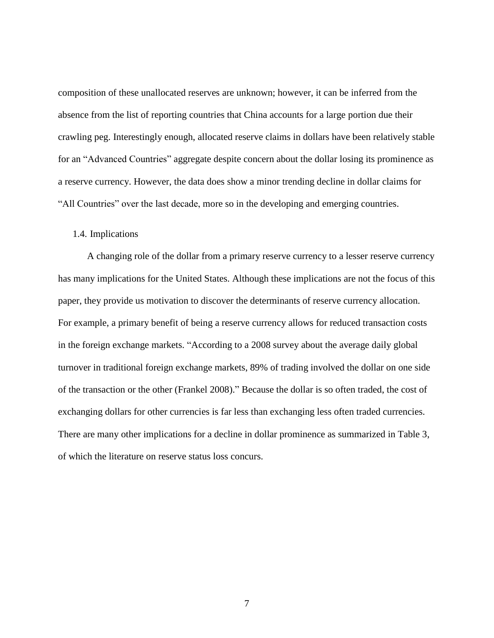<span id="page-13-0"></span>composition of these unallocated reserves are unknown; however, it can be inferred from the absence from the list of reporting countries that China accounts for a large portion due their crawling peg. Interestingly enough, allocated reserve claims in dollars have been relatively stable for an "Advanced Countries" aggregate despite concern about the dollar losing its prominence as a reserve currency. However, the data does show a minor trending decline in dollar claims for "All Countries" over the last decade, more so in the developing and emerging countries.

#### 1.4. Implications

A changing role of the dollar from a primary reserve currency to a lesser reserve currency has many implications for the United States. Although these implications are not the focus of this paper, they provide us motivation to discover the determinants of reserve currency allocation. For example, a primary benefit of being a reserve currency allows for reduced transaction costs in the foreign exchange markets. "According to a 2008 survey about the average daily global turnover in traditional foreign exchange markets, 89% of trading involved the dollar on one side of the transaction or the other (Frankel 2008)." Because the dollar is so often traded, the cost of exchanging dollars for other currencies is far less than exchanging less often traded currencies. There are many other implications for a decline in dollar prominence as summarized in Table 3, of which the literature on reserve status loss concurs.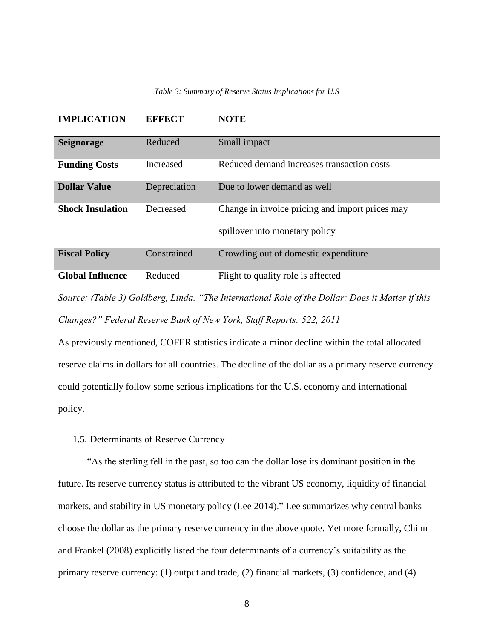#### *Table 3: Summary of Reserve Status Implications for U.S*

<span id="page-14-0"></span>

| <b>IMPLICATION</b>      | <b>EFFECT</b> | <b>NOTE</b>                                                                       |
|-------------------------|---------------|-----------------------------------------------------------------------------------|
| <b>Seignorage</b>       | Reduced       | Small impact                                                                      |
| <b>Funding Costs</b>    | Increased     | Reduced demand increases transaction costs                                        |
| <b>Dollar Value</b>     | Depreciation  | Due to lower demand as well                                                       |
| <b>Shock Insulation</b> | Decreased     | Change in invoice pricing and import prices may<br>spillover into monetary policy |
| <b>Fiscal Policy</b>    | Constrained   | Crowding out of domestic expenditure                                              |
| <b>Global Influence</b> | Reduced       | Flight to quality role is affected                                                |

*Source: (Table 3) Goldberg, Linda. "The International Role of the Dollar: Does it Matter if this Changes?" Federal Reserve Bank of New York, Staff Reports: 522, 2011*

As previously mentioned, COFER statistics indicate a minor decline within the total allocated reserve claims in dollars for all countries. The decline of the dollar as a primary reserve currency could potentially follow some serious implications for the U.S. economy and international policy.

# 1.5. Determinants of Reserve Currency

"As the sterling fell in the past, so too can the dollar lose its dominant position in the future. Its reserve currency status is attributed to the vibrant US economy, liquidity of financial markets, and stability in US monetary policy (Lee 2014)." Lee summarizes why central banks choose the dollar as the primary reserve currency in the above quote. Yet more formally, Chinn and Frankel (2008) explicitly listed the four determinants of a currency's suitability as the primary reserve currency: (1) output and trade, (2) financial markets, (3) confidence, and (4)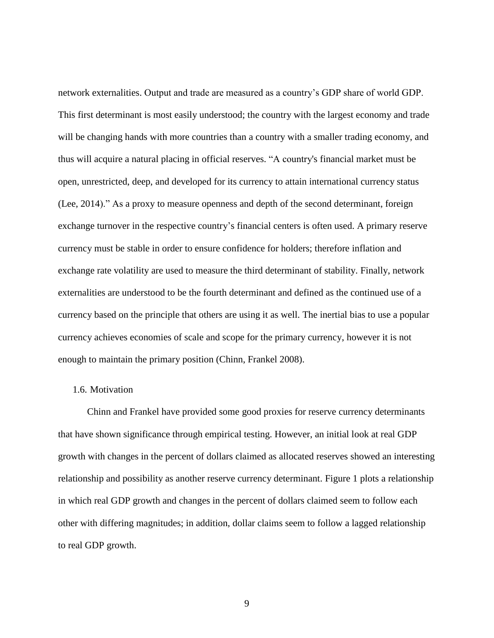<span id="page-15-0"></span>network externalities. Output and trade are measured as a country's GDP share of world GDP. This first determinant is most easily understood; the country with the largest economy and trade will be changing hands with more countries than a country with a smaller trading economy, and thus will acquire a natural placing in official reserves. "A country's financial market must be open, unrestricted, deep, and developed for its currency to attain international currency status (Lee, 2014)." As a proxy to measure openness and depth of the second determinant, foreign exchange turnover in the respective country's financial centers is often used. A primary reserve currency must be stable in order to ensure confidence for holders; therefore inflation and exchange rate volatility are used to measure the third determinant of stability. Finally, network externalities are understood to be the fourth determinant and defined as the continued use of a currency based on the principle that others are using it as well. The inertial bias to use a popular currency achieves economies of scale and scope for the primary currency, however it is not enough to maintain the primary position (Chinn, Frankel 2008).

### 1.6. Motivation

Chinn and Frankel have provided some good proxies for reserve currency determinants that have shown significance through empirical testing. However, an initial look at real GDP growth with changes in the percent of dollars claimed as allocated reserves showed an interesting relationship and possibility as another reserve currency determinant. Figure 1 plots a relationship in which real GDP growth and changes in the percent of dollars claimed seem to follow each other with differing magnitudes; in addition, dollar claims seem to follow a lagged relationship to real GDP growth.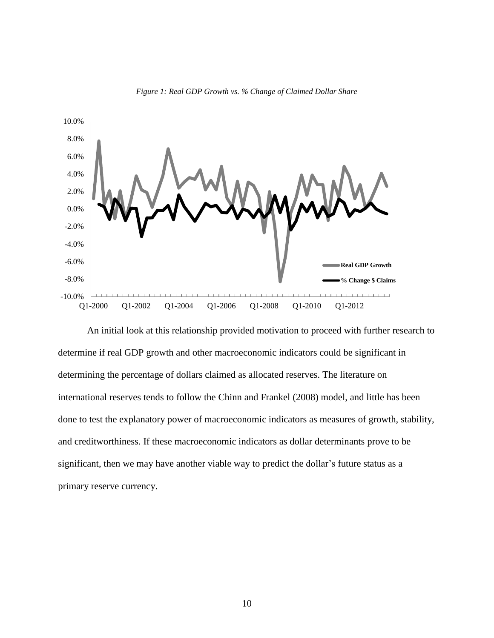<span id="page-16-0"></span>

*Figure 1: Real GDP Growth vs. % Change of Claimed Dollar Share*

An initial look at this relationship provided motivation to proceed with further research to determine if real GDP growth and other macroeconomic indicators could be significant in determining the percentage of dollars claimed as allocated reserves. The literature on international reserves tends to follow the Chinn and Frankel (2008) model, and little has been done to test the explanatory power of macroeconomic indicators as measures of growth, stability, and creditworthiness. If these macroeconomic indicators as dollar determinants prove to be significant, then we may have another viable way to predict the dollar's future status as a primary reserve currency.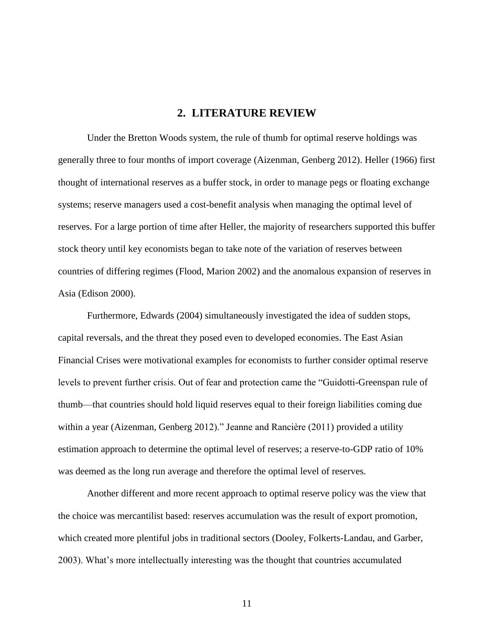# **2. LITERATURE REVIEW**

<span id="page-17-0"></span>Under the Bretton Woods system, the rule of thumb for optimal reserve holdings was generally three to four months of import coverage (Aizenman, Genberg 2012). Heller (1966) first thought of international reserves as a buffer stock, in order to manage pegs or floating exchange systems; reserve managers used a cost-benefit analysis when managing the optimal level of reserves. For a large portion of time after Heller, the majority of researchers supported this buffer stock theory until key economists began to take note of the variation of reserves between countries of differing regimes (Flood, Marion 2002) and the anomalous expansion of reserves in Asia (Edison 2000).

Furthermore, Edwards (2004) simultaneously investigated the idea of sudden stops, capital reversals, and the threat they posed even to developed economies. The East Asian Financial Crises were motivational examples for economists to further consider optimal reserve levels to prevent further crisis. Out of fear and protection came the "Guidotti-Greenspan rule of thumb—that countries should hold liquid reserves equal to their foreign liabilities coming due within a year (Aizenman, Genberg 2012)." Jeanne and Rancière (2011) provided a utility estimation approach to determine the optimal level of reserves; a reserve-to-GDP ratio of 10% was deemed as the long run average and therefore the optimal level of reserves.

Another different and more recent approach to optimal reserve policy was the view that the choice was mercantilist based: reserves accumulation was the result of export promotion, which created more plentiful jobs in traditional sectors (Dooley, Folkerts-Landau, and Garber, 2003). What's more intellectually interesting was the thought that countries accumulated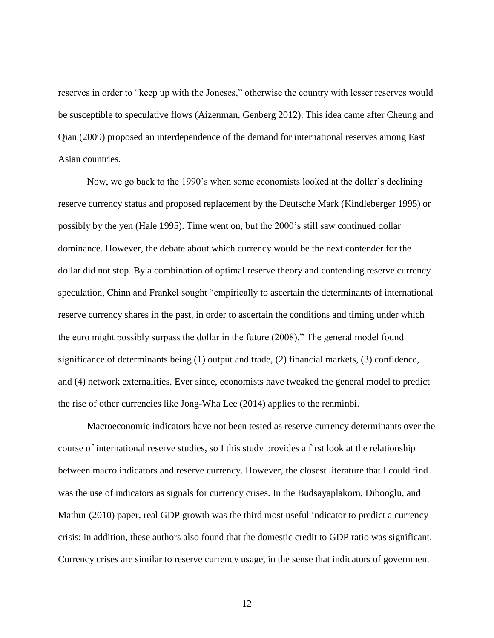reserves in order to "keep up with the Joneses," otherwise the country with lesser reserves would be susceptible to speculative flows (Aizenman, Genberg 2012). This idea came after Cheung and Qian (2009) proposed an interdependence of the demand for international reserves among East Asian countries.

Now, we go back to the 1990's when some economists looked at the dollar's declining reserve currency status and proposed replacement by the Deutsche Mark (Kindleberger 1995) or possibly by the yen (Hale 1995). Time went on, but the 2000's still saw continued dollar dominance. However, the debate about which currency would be the next contender for the dollar did not stop. By a combination of optimal reserve theory and contending reserve currency speculation, Chinn and Frankel sought "empirically to ascertain the determinants of international reserve currency shares in the past, in order to ascertain the conditions and timing under which the euro might possibly surpass the dollar in the future (2008)." The general model found significance of determinants being (1) output and trade, (2) financial markets, (3) confidence, and (4) network externalities. Ever since, economists have tweaked the general model to predict the rise of other currencies like Jong-Wha Lee (2014) applies to the renminbi.

Macroeconomic indicators have not been tested as reserve currency determinants over the course of international reserve studies, so I this study provides a first look at the relationship between macro indicators and reserve currency. However, the closest literature that I could find was the use of indicators as signals for currency crises. In the Budsayaplakorn, Dibooglu, and Mathur (2010) paper, real GDP growth was the third most useful indicator to predict a currency crisis; in addition, these authors also found that the domestic credit to GDP ratio was significant. Currency crises are similar to reserve currency usage, in the sense that indicators of government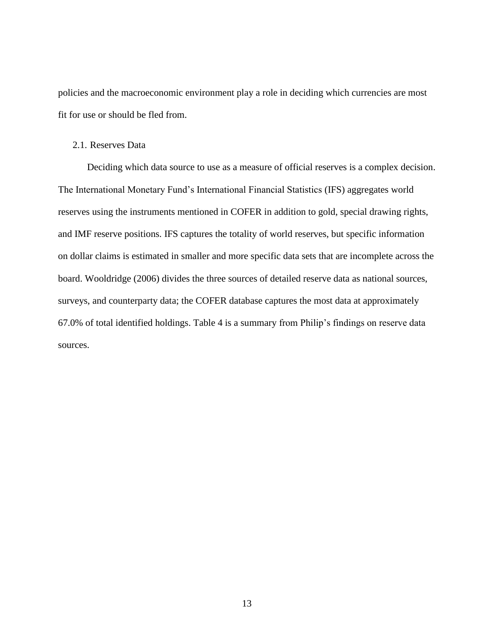<span id="page-19-0"></span>policies and the macroeconomic environment play a role in deciding which currencies are most fit for use or should be fled from.

#### 2.1. Reserves Data

Deciding which data source to use as a measure of official reserves is a complex decision. The International Monetary Fund's International Financial Statistics (IFS) aggregates world reserves using the instruments mentioned in COFER in addition to gold, special drawing rights, and IMF reserve positions. IFS captures the totality of world reserves, but specific information on dollar claims is estimated in smaller and more specific data sets that are incomplete across the board. Wooldridge (2006) divides the three sources of detailed reserve data as national sources, surveys, and counterparty data; the COFER database captures the most data at approximately 67.0% of total identified holdings. Table 4 is a summary from Philip's findings on reserve data sources.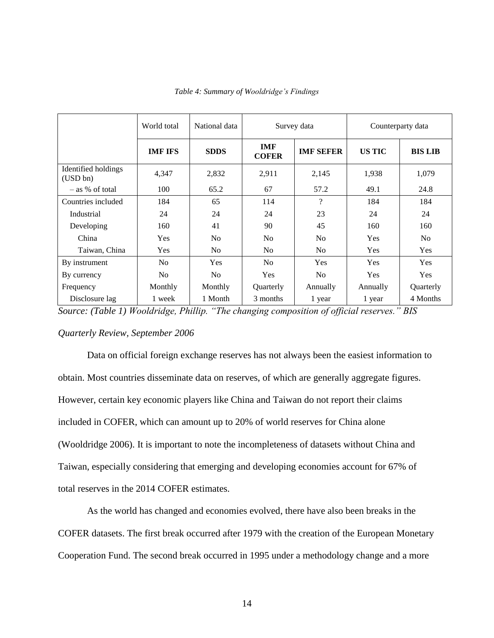<span id="page-20-0"></span>

|                                 | World total    | National data<br>Survey data<br>Counterparty data |                            |                          |               |                |
|---------------------------------|----------------|---------------------------------------------------|----------------------------|--------------------------|---------------|----------------|
|                                 | <b>IMF IFS</b> | <b>SDDS</b>                                       | <b>IMF</b><br><b>COFER</b> | <b>IMF SEFER</b>         | <b>US TIC</b> | <b>BIS LIB</b> |
| Identified holdings<br>(USD bn) | 4,347          | 2,832                                             | 2,911                      | 2,145                    | 1,938         | 1,079          |
| $-$ as % of total               | 100            | 65.2                                              | 67                         | 57.2                     | 49.1          | 24.8           |
| Countries included              | 184            | 65                                                | 114                        | $\overline{\mathcal{L}}$ | 184           | 184            |
| Industrial                      | 24             | 24                                                | 24                         | 23                       | 24            | 24             |
| Developing                      | 160            | 41                                                | 90                         | 45                       | 160           | 160            |
| China                           | Yes            | N <sub>o</sub>                                    | N <sub>o</sub>             | N <sub>o</sub>           | Yes           | No             |
| Taiwan, China                   | Yes            | N <sub>o</sub>                                    | N <sub>o</sub>             | N <sub>o</sub>           | Yes           | Yes            |
| By instrument                   | N <sub>0</sub> | <b>Yes</b>                                        | No.                        | Yes                      | <b>Yes</b>    | <b>Yes</b>     |
| By currency                     | N <sub>0</sub> | N <sub>0</sub>                                    | <b>Yes</b>                 | N <sub>0</sub>           | <b>Yes</b>    | <b>Yes</b>     |
| Frequency                       | Monthly        | Monthly                                           | Quarterly                  | Annually                 | Annually      | Quarterly      |
| Disclosure lag                  | 1 week         | 1 Month                                           | 3 months                   | 1 year                   | 1 year        | 4 Months       |

*Table 4: Summary of Wooldridge's Findings*

*Source: (Table 1) Wooldridge, Phillip. "The changing composition of official reserves." BIS* 

### *Quarterly Review, September 2006*

Data on official foreign exchange reserves has not always been the easiest information to obtain. Most countries disseminate data on reserves, of which are generally aggregate figures. However, certain key economic players like China and Taiwan do not report their claims included in COFER, which can amount up to 20% of world reserves for China alone (Wooldridge 2006). It is important to note the incompleteness of datasets without China and Taiwan, especially considering that emerging and developing economies account for 67% of total reserves in the 2014 COFER estimates.

As the world has changed and economies evolved, there have also been breaks in the COFER datasets. The first break occurred after 1979 with the creation of the European Monetary Cooperation Fund. The second break occurred in 1995 under a methodology change and a more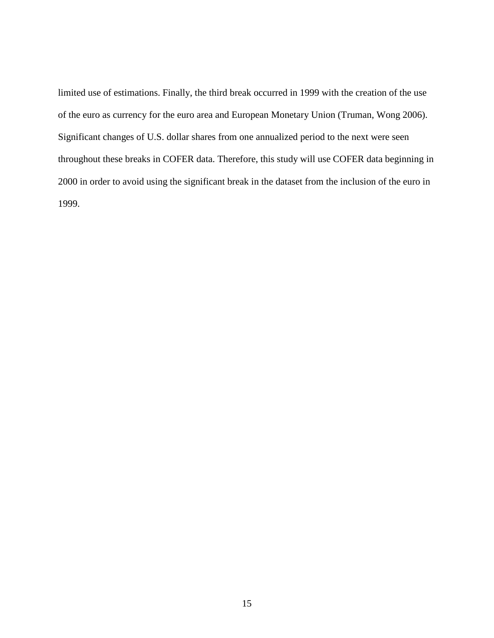limited use of estimations. Finally, the third break occurred in 1999 with the creation of the use of the euro as currency for the euro area and European Monetary Union (Truman, Wong 2006). Significant changes of U.S. dollar shares from one annualized period to the next were seen throughout these breaks in COFER data. Therefore, this study will use COFER data beginning in 2000 in order to avoid using the significant break in the dataset from the inclusion of the euro in 1999.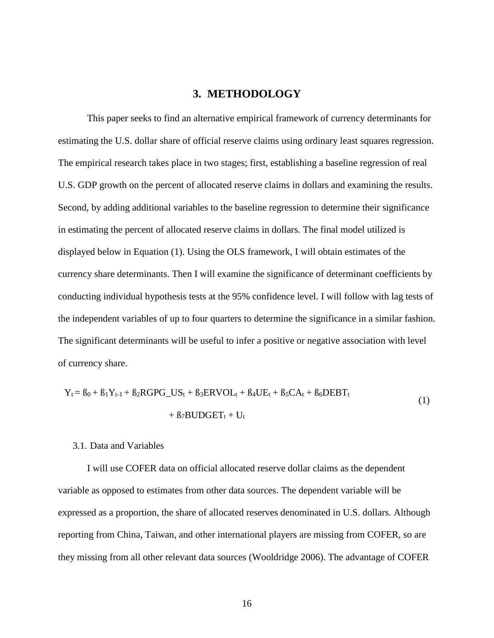# **3. METHODOLOGY**

<span id="page-22-0"></span>This paper seeks to find an alternative empirical framework of currency determinants for estimating the U.S. dollar share of official reserve claims using ordinary least squares regression. The empirical research takes place in two stages; first, establishing a baseline regression of real U.S. GDP growth on the percent of allocated reserve claims in dollars and examining the results. Second, by adding additional variables to the baseline regression to determine their significance in estimating the percent of allocated reserve claims in dollars. The final model utilized is displayed below in Equation (1). Using the OLS framework, I will obtain estimates of the currency share determinants. Then I will examine the significance of determinant coefficients by conducting individual hypothesis tests at the 95% confidence level. I will follow with lag tests of the independent variables of up to four quarters to determine the significance in a similar fashion. The significant determinants will be useful to infer a positive or negative association with level of currency share.

$$
Y_t = B_0 + B_1 Y_{t-1} + B_2 R G P G_U S_t + B_3 ERVOL_t + B_4UE_t + B_5CA_t + B_6 DEBT_t
$$
  
+ B<sub>7</sub>BUDGET<sub>t</sub> + U<sub>t</sub> (1)

#### 3.1. Data and Variables

I will use COFER data on official allocated reserve dollar claims as the dependent variable as opposed to estimates from other data sources. The dependent variable will be expressed as a proportion, the share of allocated reserves denominated in U.S. dollars. Although reporting from China, Taiwan, and other international players are missing from COFER, so are they missing from all other relevant data sources (Wooldridge 2006). The advantage of COFER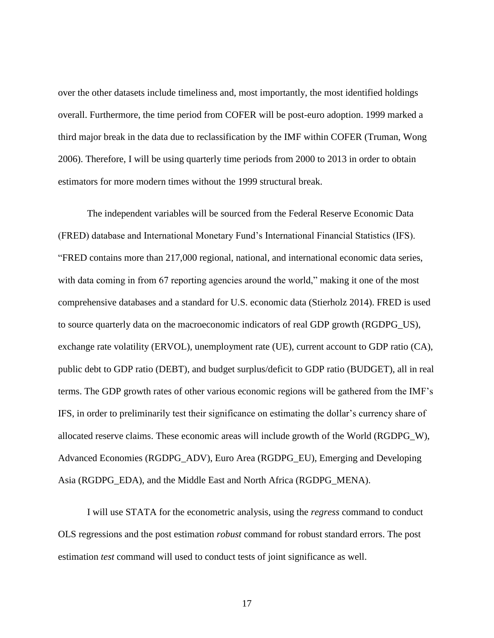over the other datasets include timeliness and, most importantly, the most identified holdings overall. Furthermore, the time period from COFER will be post-euro adoption. 1999 marked a third major break in the data due to reclassification by the IMF within COFER (Truman, Wong 2006). Therefore, I will be using quarterly time periods from 2000 to 2013 in order to obtain estimators for more modern times without the 1999 structural break.

The independent variables will be sourced from the Federal Reserve Economic Data (FRED) database and International Monetary Fund's International Financial Statistics (IFS). "FRED contains more than 217,000 regional, national, and international economic data series, with data coming in from 67 reporting agencies around the world," making it one of the most comprehensive databases and a standard for U.S. economic data (Stierholz 2014). FRED is used to source quarterly data on the macroeconomic indicators of real GDP growth (RGDPG\_US), exchange rate volatility (ERVOL), unemployment rate (UE), current account to GDP ratio (CA), public debt to GDP ratio (DEBT), and budget surplus/deficit to GDP ratio (BUDGET), all in real terms. The GDP growth rates of other various economic regions will be gathered from the IMF's IFS, in order to preliminarily test their significance on estimating the dollar's currency share of allocated reserve claims. These economic areas will include growth of the World (RGDPG\_W), Advanced Economies (RGDPG\_ADV), Euro Area (RGDPG\_EU), Emerging and Developing Asia (RGDPG EDA), and the Middle East and North Africa (RGDPG MENA).

I will use STATA for the econometric analysis, using the *regress* command to conduct OLS regressions and the post estimation *robust* command for robust standard errors. The post estimation *test* command will used to conduct tests of joint significance as well.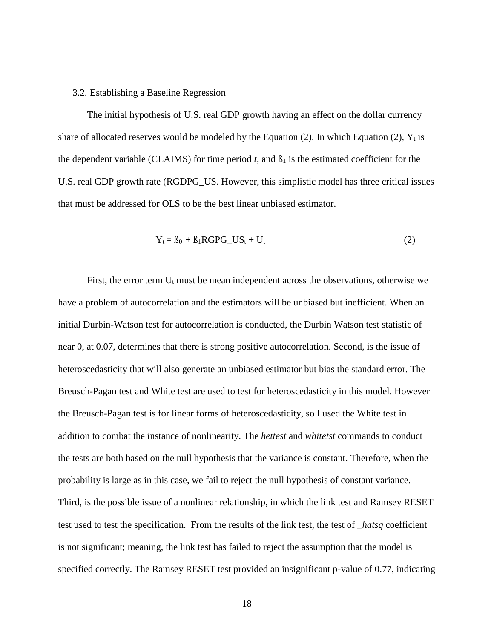#### <span id="page-24-0"></span>3.2. Establishing a Baseline Regression

The initial hypothesis of U.S. real GDP growth having an effect on the dollar currency share of allocated reserves would be modeled by the Equation (2). In which Equation (2),  $Y_t$  is the dependent variable (CLAIMS) for time period  $t$ , and  $\beta_1$  is the estimated coefficient for the U.S. real GDP growth rate (RGDPG\_US. However, this simplistic model has three critical issues that must be addressed for OLS to be the best linear unbiased estimator.

$$
Y_t = B_0 + B_1 R G P G_U S_t + U_t \tag{2}
$$

First, the error term  $U_t$  must be mean independent across the observations, otherwise we have a problem of autocorrelation and the estimators will be unbiased but inefficient. When an initial Durbin-Watson test for autocorrelation is conducted, the Durbin Watson test statistic of near 0, at 0.07, determines that there is strong positive autocorrelation. Second, is the issue of heteroscedasticity that will also generate an unbiased estimator but bias the standard error. The Breusch-Pagan test and White test are used to test for heteroscedasticity in this model. However the Breusch-Pagan test is for linear forms of heteroscedasticity, so I used the White test in addition to combat the instance of nonlinearity. The *hettest* and *whitetst* commands to conduct the tests are both based on the null hypothesis that the variance is constant. Therefore, when the probability is large as in this case, we fail to reject the null hypothesis of constant variance. Third, is the possible issue of a nonlinear relationship, in which the link test and Ramsey RESET test used to test the specification. From the results of the link test, the test of *\_hatsq* coefficient is not significant; meaning, the link test has failed to reject the assumption that the model is specified correctly. The Ramsey RESET test provided an insignificant p-value of 0.77, indicating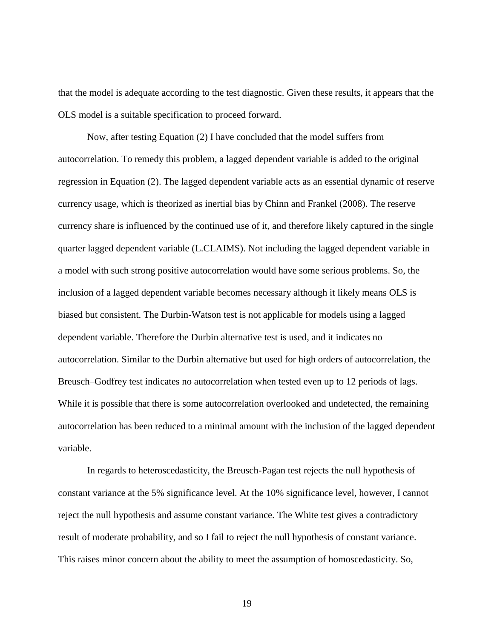that the model is adequate according to the test diagnostic. Given these results, it appears that the OLS model is a suitable specification to proceed forward.

Now, after testing Equation (2) I have concluded that the model suffers from autocorrelation. To remedy this problem, a lagged dependent variable is added to the original regression in Equation (2). The lagged dependent variable acts as an essential dynamic of reserve currency usage, which is theorized as inertial bias by Chinn and Frankel (2008). The reserve currency share is influenced by the continued use of it, and therefore likely captured in the single quarter lagged dependent variable (L.CLAIMS). Not including the lagged dependent variable in a model with such strong positive autocorrelation would have some serious problems. So, the inclusion of a lagged dependent variable becomes necessary although it likely means OLS is biased but consistent. The Durbin-Watson test is not applicable for models using a lagged dependent variable. Therefore the Durbin alternative test is used, and it indicates no autocorrelation. Similar to the Durbin alternative but used for high orders of autocorrelation, the Breusch–Godfrey test indicates no autocorrelation when tested even up to 12 periods of lags. While it is possible that there is some autocorrelation overlooked and undetected, the remaining autocorrelation has been reduced to a minimal amount with the inclusion of the lagged dependent variable.

In regards to heteroscedasticity, the Breusch-Pagan test rejects the null hypothesis of constant variance at the 5% significance level. At the 10% significance level, however, I cannot reject the null hypothesis and assume constant variance. The White test gives a contradictory result of moderate probability, and so I fail to reject the null hypothesis of constant variance. This raises minor concern about the ability to meet the assumption of homoscedasticity. So,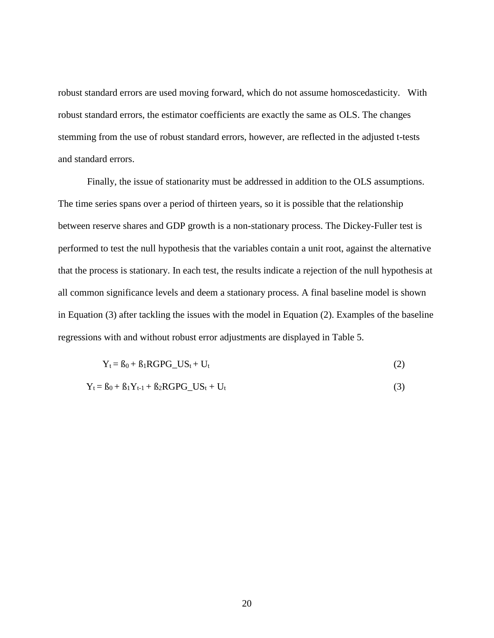robust standard errors are used moving forward, which do not assume homoscedasticity. With robust standard errors, the estimator coefficients are exactly the same as OLS. The changes stemming from the use of robust standard errors, however, are reflected in the adjusted t-tests and standard errors.

Finally, the issue of stationarity must be addressed in addition to the OLS assumptions. The time series spans over a period of thirteen years, so it is possible that the relationship between reserve shares and GDP growth is a non-stationary process. The Dickey-Fuller test is performed to test the null hypothesis that the variables contain a unit root, against the alternative that the process is stationary. In each test, the results indicate a rejection of the null hypothesis at all common significance levels and deem a stationary process. A final baseline model is shown in Equation (3) after tackling the issues with the model in Equation (2). Examples of the baseline regressions with and without robust error adjustments are displayed in Table 5.

$$
Y_t = B_0 + B_1 R G P G_U S_t + U_t
$$
\n<sup>(2)</sup>

$$
Y_t = B_0 + B_1 Y_{t-1} + B_2 R G P G_U S_t + U_t
$$
\n
$$
(3)
$$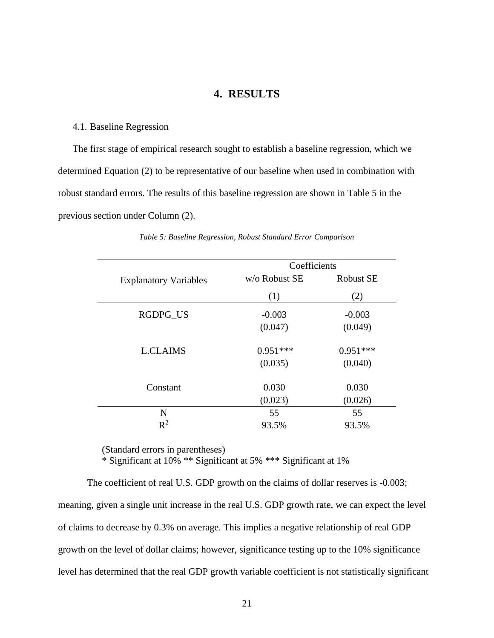# **4. RESULTS**

#### <span id="page-27-0"></span>4.1. Baseline Regression

The first stage of empirical research sought to establish a baseline regression, which we determined Equation (2) to be representative of our baseline when used in combination with robust standard errors. The results of this baseline regression are shown in Table 5 in the previous section under Column (2).

|                              | Coefficients  |                  |
|------------------------------|---------------|------------------|
| <b>Explanatory Variables</b> | w/o Robust SE | <b>Robust SE</b> |
|                              | (1)           | (2)              |
| <b>RGDPG US</b>              | $-0.003$      | $-0.003$         |
|                              | (0.047)       | (0.049)          |
| <b>L.CLAIMS</b>              | $0.951***$    | $0.951***$       |
|                              | (0.035)       | (0.040)          |
| Constant                     | 0.030         | 0.030            |
|                              | (0.023)       | (0.026)          |
| N                            | 55            | 55               |
| $R^2$                        | 93.5%         | 93.5%            |

*Table 5: Baseline Regression, Robust Standard Error Comparison* 

(Standard errors in parentheses)

\* Significant at 10% \*\* Significant at 5% \*\*\* Significant at 1%

The coefficient of real U.S. GDP growth on the claims of dollar reserves is -0.003; meaning, given a single unit increase in the real U.S. GDP growth rate, we can expect the level of claims to decrease by 0.3% on average. This implies a negative relationship of real GDP growth on the level of dollar claims; however, significance testing up to the 10% significance level has determined that the real GDP growth variable coefficient is not statistically significant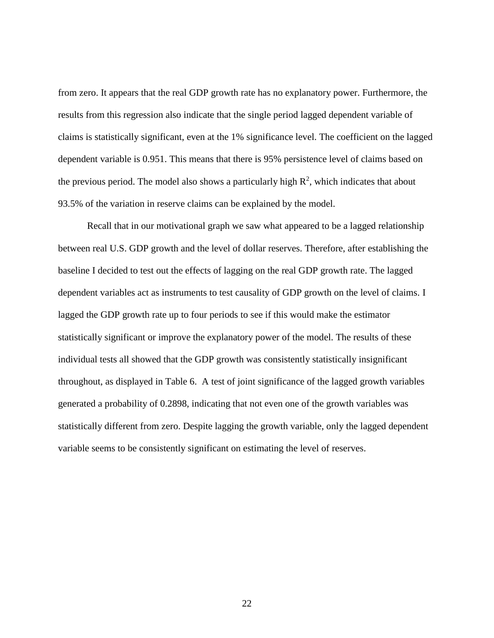from zero. It appears that the real GDP growth rate has no explanatory power. Furthermore, the results from this regression also indicate that the single period lagged dependent variable of claims is statistically significant, even at the 1% significance level. The coefficient on the lagged dependent variable is 0.951. This means that there is 95% persistence level of claims based on the previous period. The model also shows a particularly high  $\mathbb{R}^2$ , which indicates that about 93.5% of the variation in reserve claims can be explained by the model.

Recall that in our motivational graph we saw what appeared to be a lagged relationship between real U.S. GDP growth and the level of dollar reserves. Therefore, after establishing the baseline I decided to test out the effects of lagging on the real GDP growth rate. The lagged dependent variables act as instruments to test causality of GDP growth on the level of claims. I lagged the GDP growth rate up to four periods to see if this would make the estimator statistically significant or improve the explanatory power of the model. The results of these individual tests all showed that the GDP growth was consistently statistically insignificant throughout, as displayed in Table 6. A test of joint significance of the lagged growth variables generated a probability of 0.2898, indicating that not even one of the growth variables was statistically different from zero. Despite lagging the growth variable, only the lagged dependent variable seems to be consistently significant on estimating the level of reserves.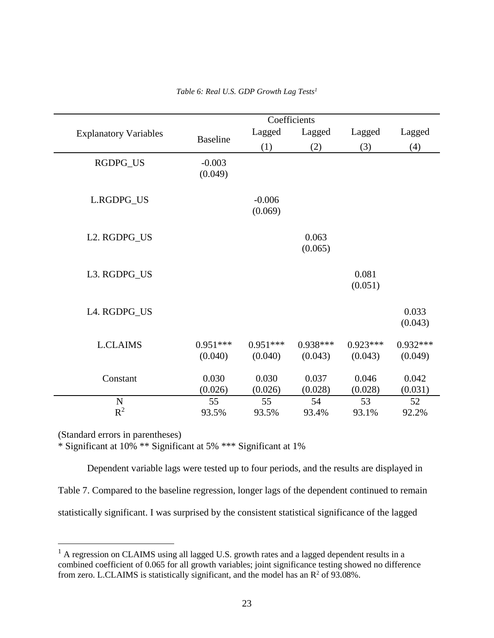<span id="page-29-0"></span>

|                              |                       |                       | Coefficients          |                       |                       |
|------------------------------|-----------------------|-----------------------|-----------------------|-----------------------|-----------------------|
| <b>Explanatory Variables</b> | <b>Baseline</b>       | Lagged                | Lagged                | Lagged                | Lagged                |
|                              |                       | (1)                   | (2)                   | (3)                   | (4)                   |
| RGDPG_US                     | $-0.003$<br>(0.049)   |                       |                       |                       |                       |
| L.RGDPG_US                   |                       | $-0.006$<br>(0.069)   |                       |                       |                       |
| L2. RGDPG_US                 |                       |                       | 0.063<br>(0.065)      |                       |                       |
| L3. RGDPG_US                 |                       |                       |                       | 0.081<br>(0.051)      |                       |
| L4. RGDPG_US                 |                       |                       |                       |                       | 0.033<br>(0.043)      |
| <b>L.CLAIMS</b>              | $0.951***$<br>(0.040) | $0.951***$<br>(0.040) | $0.938***$<br>(0.043) | $0.923***$<br>(0.043) | $0.932***$<br>(0.049) |
| Constant                     | 0.030<br>(0.026)      | 0.030<br>(0.026)      | 0.037<br>(0.028)      | 0.046<br>(0.028)      | 0.042<br>(0.031)      |
| $\mathbf N$<br>$R^2$         | 55                    | 55                    | 54                    | 53                    | 52                    |
|                              | 93.5%                 | 93.5%                 | 93.4%                 | 93.1%                 | 92.2%                 |

*Table 6: Real U.S. GDP Growth Lag Tests<sup>1</sup>*

(Standard errors in parentheses)

 $\overline{a}$ 

\* Significant at 10% \*\* Significant at 5% \*\*\* Significant at 1%

Dependent variable lags were tested up to four periods, and the results are displayed in Table 7. Compared to the baseline regression, longer lags of the dependent continued to remain statistically significant. I was surprised by the consistent statistical significance of the lagged

<sup>&</sup>lt;sup>1</sup> A regression on CLAIMS using all lagged U.S. growth rates and a lagged dependent results in a combined coefficient of 0.065 for all growth variables; joint significance testing showed no difference from zero. L.CLAIMS is statistically significant, and the model has an  $R^2$  of 93.08%.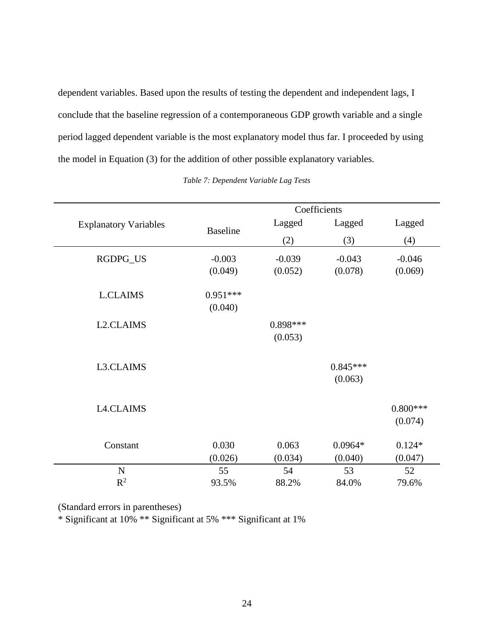<span id="page-30-0"></span>dependent variables. Based upon the results of testing the dependent and independent lags, I conclude that the baseline regression of a contemporaneous GDP growth variable and a single period lagged dependent variable is the most explanatory model thus far. I proceeded by using the model in Equation (3) for the addition of other possible explanatory variables.

|                              |                 | Coefficients |            |            |
|------------------------------|-----------------|--------------|------------|------------|
| <b>Explanatory Variables</b> | <b>Baseline</b> | Lagged       | Lagged     | Lagged     |
|                              |                 | (2)          | (3)        | (4)        |
| RGDPG_US                     | $-0.003$        | $-0.039$     | $-0.043$   | $-0.046$   |
|                              | (0.049)         | (0.052)      | (0.078)    | (0.069)    |
| <b>L.CLAIMS</b>              | $0.951***$      |              |            |            |
|                              | (0.040)         |              |            |            |
| L <sub>2</sub> .CLAIMS       |                 | $0.898***$   |            |            |
|                              |                 | (0.053)      |            |            |
| L3.CLAIMS                    |                 |              | $0.845***$ |            |
|                              |                 |              | (0.063)    |            |
|                              |                 |              |            |            |
| <b>L4.CLAIMS</b>             |                 |              |            | $0.800***$ |
|                              |                 |              |            | (0.074)    |
| Constant                     | 0.030           | 0.063        | $0.0964*$  | $0.124*$   |
|                              | (0.026)         | (0.034)      | (0.040)    | (0.047)    |
| $\mathbf N$                  | 55              | 54           | 53         | 52         |
| $R^2$                        | 93.5%           | 88.2%        | 84.0%      | 79.6%      |

*Table 7: Dependent Variable Lag Tests*

(Standard errors in parentheses)

\* Significant at 10% \*\* Significant at 5% \*\*\* Significant at 1%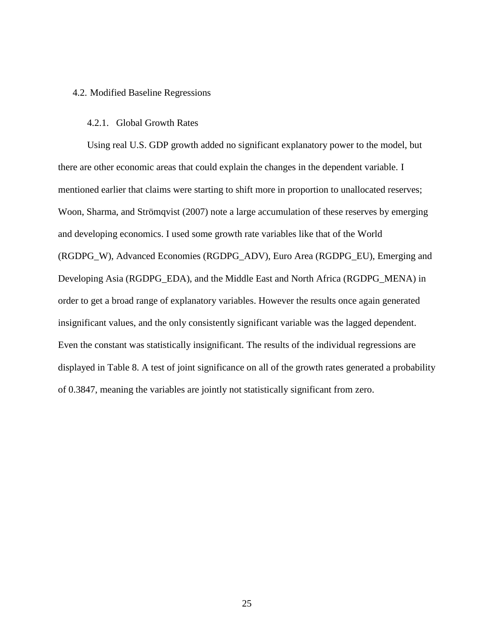#### <span id="page-31-0"></span>4.2. Modified Baseline Regressions

#### 4.2.1. Global Growth Rates

Using real U.S. GDP growth added no significant explanatory power to the model, but there are other economic areas that could explain the changes in the dependent variable. I mentioned earlier that claims were starting to shift more in proportion to unallocated reserves; Woon, Sharma, and Strömqvist (2007) note a large accumulation of these reserves by emerging and developing economics. I used some growth rate variables like that of the World (RGDPG\_W), Advanced Economies (RGDPG\_ADV), Euro Area (RGDPG\_EU), Emerging and Developing Asia (RGDPG\_EDA), and the Middle East and North Africa (RGDPG\_MENA) in order to get a broad range of explanatory variables. However the results once again generated insignificant values, and the only consistently significant variable was the lagged dependent. Even the constant was statistically insignificant. The results of the individual regressions are displayed in Table 8. A test of joint significance on all of the growth rates generated a probability of 0.3847, meaning the variables are jointly not statistically significant from zero.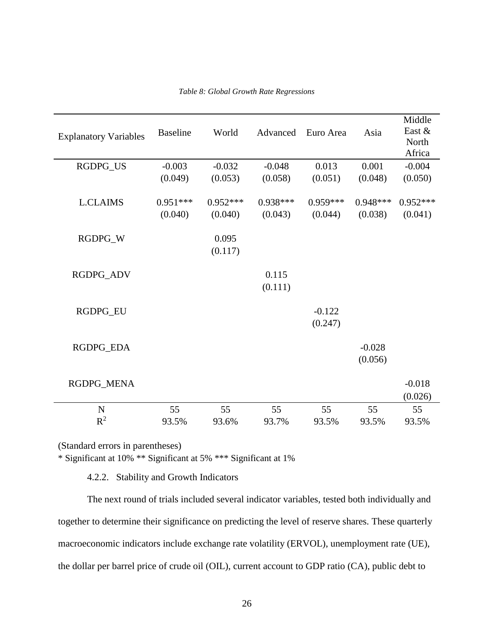<span id="page-32-0"></span>

| <b>Explanatory Variables</b> | <b>Baseline</b> | World      | Advanced         | Euro Area  | Asia       | Middle<br>East &<br>North<br>Africa |
|------------------------------|-----------------|------------|------------------|------------|------------|-------------------------------------|
| RGDPG_US                     | $-0.003$        | $-0.032$   | $-0.048$         | 0.013      | 0.001      | $-0.004$                            |
|                              | (0.049)         | (0.053)    | (0.058)          | (0.051)    | (0.048)    | (0.050)                             |
| <b>L.CLAIMS</b>              | $0.951***$      | $0.952***$ | $0.938***$       | $0.959***$ | $0.948***$ | $0.952***$                          |
|                              | (0.040)         | (0.040)    | (0.043)          | (0.044)    | (0.038)    | (0.041)                             |
| RGDPG_W                      |                 | 0.095      |                  |            |            |                                     |
|                              |                 | (0.117)    |                  |            |            |                                     |
|                              |                 |            |                  |            |            |                                     |
| RGDPG_ADV                    |                 |            | 0.115<br>(0.111) |            |            |                                     |
|                              |                 |            |                  |            |            |                                     |
| RGDPG_EU                     |                 |            |                  | $-0.122$   |            |                                     |
|                              |                 |            |                  | (0.247)    |            |                                     |
| RGDPG_EDA                    |                 |            |                  |            | $-0.028$   |                                     |
|                              |                 |            |                  |            | (0.056)    |                                     |
| RGDPG_MENA                   |                 |            |                  |            |            | $-0.018$                            |
|                              |                 |            |                  |            |            | (0.026)                             |
| ${\bf N}$                    | 55              | 55         | 55               | 55         | 55         | 55                                  |
| $R^2$                        | 93.5%           | 93.6%      | 93.7%            | 93.5%      | 93.5%      | 93.5%                               |

*Table 8: Global Growth Rate Regressions*

(Standard errors in parentheses)

\* Significant at 10% \*\* Significant at 5% \*\*\* Significant at 1%

4.2.2. Stability and Growth Indicators

The next round of trials included several indicator variables, tested both individually and together to determine their significance on predicting the level of reserve shares. These quarterly macroeconomic indicators include exchange rate volatility (ERVOL), unemployment rate (UE), the dollar per barrel price of crude oil (OIL), current account to GDP ratio (CA), public debt to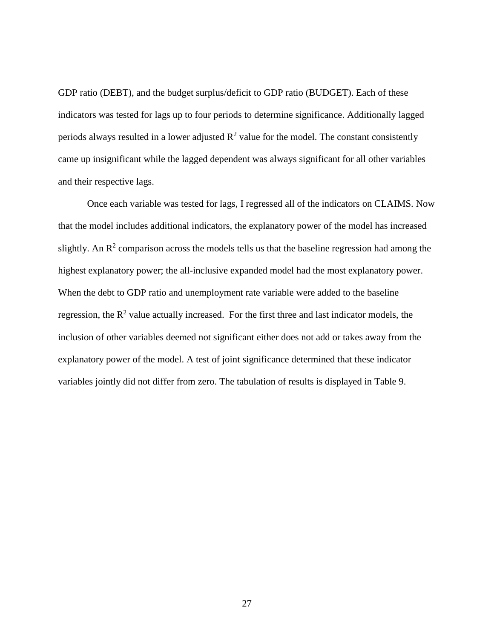GDP ratio (DEBT), and the budget surplus/deficit to GDP ratio (BUDGET). Each of these indicators was tested for lags up to four periods to determine significance. Additionally lagged periods always resulted in a lower adjusted  $\mathbb{R}^2$  value for the model. The constant consistently came up insignificant while the lagged dependent was always significant for all other variables and their respective lags.

Once each variable was tested for lags, I regressed all of the indicators on CLAIMS. Now that the model includes additional indicators, the explanatory power of the model has increased slightly. An  $\mathbb{R}^2$  comparison across the models tells us that the baseline regression had among the highest explanatory power; the all-inclusive expanded model had the most explanatory power. When the debt to GDP ratio and unemployment rate variable were added to the baseline regression, the  $R^2$  value actually increased. For the first three and last indicator models, the inclusion of other variables deemed not significant either does not add or takes away from the explanatory power of the model. A test of joint significance determined that these indicator variables jointly did not differ from zero. The tabulation of results is displayed in Table 9.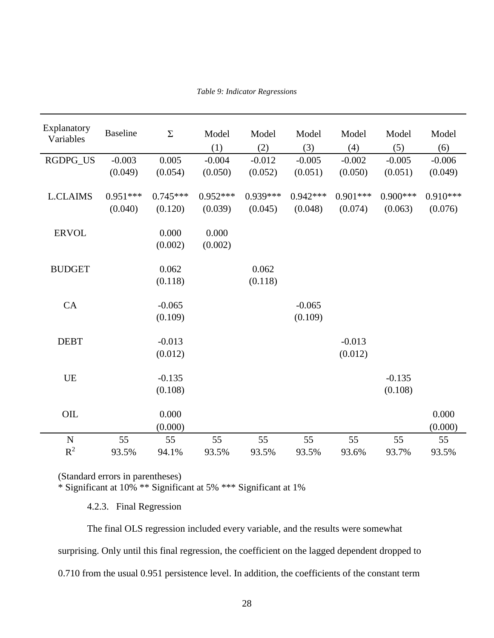|  | Table 9: Indicator Regressions |  |
|--|--------------------------------|--|
|  |                                |  |

<span id="page-34-0"></span>

| Explanatory     | <b>Baseline</b> | $\Sigma$   | Model      | Model      | Model      | Model      | Model      | Model      |
|-----------------|-----------------|------------|------------|------------|------------|------------|------------|------------|
| Variables       |                 |            |            |            |            |            |            |            |
|                 |                 |            | (1)        | (2)        | (3)        | (4)        | (5)        | (6)        |
| RGDPG_US        | $-0.003$        | 0.005      | $-0.004$   | $-0.012$   | $-0.005$   | $-0.002$   | $-0.005$   | $-0.006$   |
|                 | (0.049)         | (0.054)    | (0.050)    | (0.052)    | (0.051)    | (0.050)    | (0.051)    | (0.049)    |
|                 |                 | $0.745***$ | $0.952***$ | $0.939***$ | $0.942***$ |            | $0.900***$ |            |
| <b>L.CLAIMS</b> | $0.951***$      |            |            |            |            | $0.901***$ |            | $0.910***$ |
|                 | (0.040)         | (0.120)    | (0.039)    | (0.045)    | (0.048)    | (0.074)    | (0.063)    | (0.076)    |
| <b>ERVOL</b>    |                 | 0.000      | 0.000      |            |            |            |            |            |
|                 |                 | (0.002)    | (0.002)    |            |            |            |            |            |
|                 |                 |            |            |            |            |            |            |            |
| <b>BUDGET</b>   |                 | 0.062      |            | 0.062      |            |            |            |            |
|                 |                 | (0.118)    |            | (0.118)    |            |            |            |            |
|                 |                 |            |            |            |            |            |            |            |
| CA              |                 | $-0.065$   |            |            | $-0.065$   |            |            |            |
|                 |                 | (0.109)    |            |            | (0.109)    |            |            |            |
|                 |                 |            |            |            |            |            |            |            |
| <b>DEBT</b>     |                 | $-0.013$   |            |            |            | $-0.013$   |            |            |
|                 |                 | (0.012)    |            |            |            | (0.012)    |            |            |
|                 |                 |            |            |            |            |            |            |            |
| <b>UE</b>       |                 | $-0.135$   |            |            |            |            | $-0.135$   |            |
|                 |                 | (0.108)    |            |            |            |            | (0.108)    |            |
|                 |                 |            |            |            |            |            |            |            |
| $\rm OIL$       |                 | 0.000      |            |            |            |            |            | 0.000      |
|                 |                 | (0.000)    |            |            |            |            |            | (0.000)    |
| $\mathbf N$     | 55              | 55         | 55         | 55         | 55         | 55         | 55         | 55         |
| $R^2$           | 93.5%           | 94.1%      | 93.5%      | 93.5%      | 93.5%      | 93.6%      | 93.7%      | 93.5%      |

(Standard errors in parentheses)

\* Significant at 10% \*\* Significant at 5% \*\*\* Significant at 1%

4.2.3. Final Regression

The final OLS regression included every variable, and the results were somewhat surprising. Only until this final regression, the coefficient on the lagged dependent dropped to 0.710 from the usual 0.951 persistence level. In addition, the coefficients of the constant term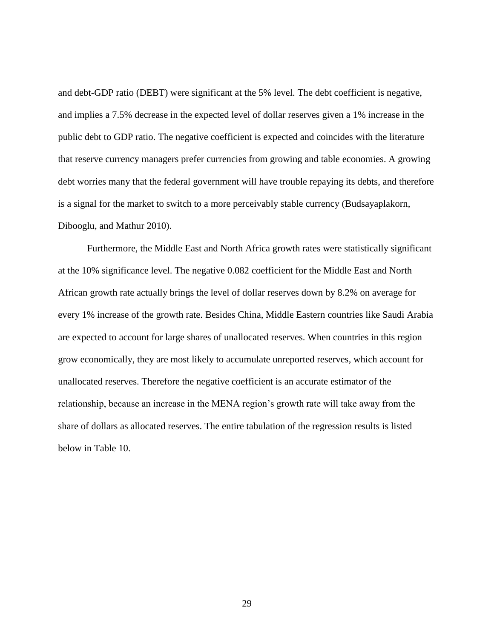and debt-GDP ratio (DEBT) were significant at the 5% level. The debt coefficient is negative, and implies a 7.5% decrease in the expected level of dollar reserves given a 1% increase in the public debt to GDP ratio. The negative coefficient is expected and coincides with the literature that reserve currency managers prefer currencies from growing and table economies. A growing debt worries many that the federal government will have trouble repaying its debts, and therefore is a signal for the market to switch to a more perceivably stable currency (Budsayaplakorn, Dibooglu, and Mathur 2010).

Furthermore, the Middle East and North Africa growth rates were statistically significant at the 10% significance level. The negative 0.082 coefficient for the Middle East and North African growth rate actually brings the level of dollar reserves down by 8.2% on average for every 1% increase of the growth rate. Besides China, Middle Eastern countries like Saudi Arabia are expected to account for large shares of unallocated reserves. When countries in this region grow economically, they are most likely to accumulate unreported reserves, which account for unallocated reserves. Therefore the negative coefficient is an accurate estimator of the relationship, because an increase in the MENA region's growth rate will take away from the share of dollars as allocated reserves. The entire tabulation of the regression results is listed below in Table 10.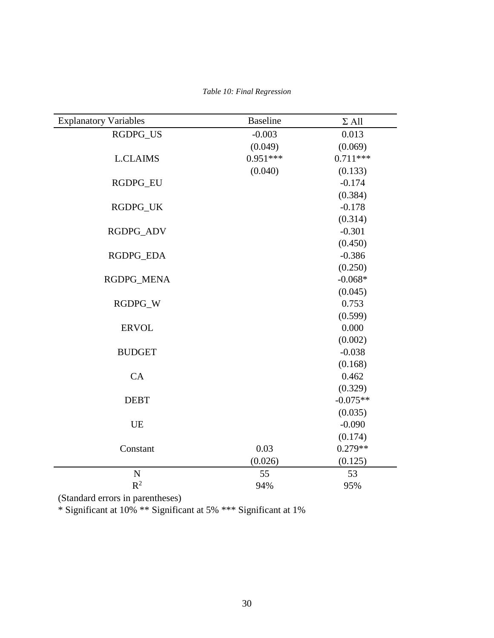|  |  |  | Table 10: Final Regression |
|--|--|--|----------------------------|
|--|--|--|----------------------------|

<span id="page-36-0"></span>

| <b>Explanatory Variables</b> | <b>Baseline</b> | $\Sigma$ All |
|------------------------------|-----------------|--------------|
| RGDPG_US                     | $-0.003$        | 0.013        |
|                              | (0.049)         | (0.069)      |
| <b>L.CLAIMS</b>              | $0.951***$      | $0.711***$   |
|                              | (0.040)         | (0.133)      |
| RGDPG_EU                     |                 | $-0.174$     |
|                              |                 | (0.384)      |
| RGDPG_UK                     |                 | $-0.178$     |
|                              |                 | (0.314)      |
| RGDPG_ADV                    |                 | $-0.301$     |
|                              |                 | (0.450)      |
| RGDPG_EDA                    |                 | $-0.386$     |
|                              |                 | (0.250)      |
| RGDPG_MENA                   |                 | $-0.068*$    |
|                              |                 | (0.045)      |
| RGDPG_W                      |                 | 0.753        |
|                              |                 | (0.599)      |
| <b>ERVOL</b>                 |                 | 0.000        |
|                              |                 | (0.002)      |
| <b>BUDGET</b>                |                 | $-0.038$     |
|                              |                 | (0.168)      |
| CA                           |                 | 0.462        |
|                              |                 | (0.329)      |
| <b>DEBT</b>                  |                 | $-0.075**$   |
|                              |                 | (0.035)      |
| <b>UE</b>                    |                 | $-0.090$     |
|                              |                 | (0.174)      |
| Constant                     | 0.03            | $0.279**$    |
|                              | (0.026)         | (0.125)      |
| $\mathbf N$                  | 55              | 53           |
| $R^2$                        | 94%             | 95%          |

(Standard errors in parentheses)

\* Significant at 10% \*\* Significant at 5% \*\*\* Significant at 1%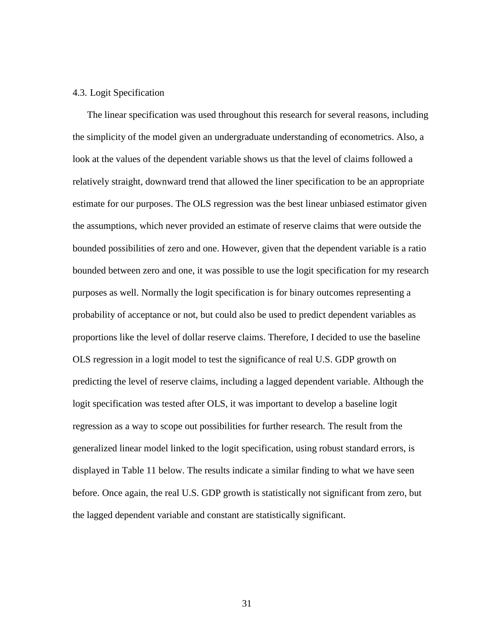#### <span id="page-37-0"></span>4.3. Logit Specification

The linear specification was used throughout this research for several reasons, including the simplicity of the model given an undergraduate understanding of econometrics. Also, a look at the values of the dependent variable shows us that the level of claims followed a relatively straight, downward trend that allowed the liner specification to be an appropriate estimate for our purposes. The OLS regression was the best linear unbiased estimator given the assumptions, which never provided an estimate of reserve claims that were outside the bounded possibilities of zero and one. However, given that the dependent variable is a ratio bounded between zero and one, it was possible to use the logit specification for my research purposes as well. Normally the logit specification is for binary outcomes representing a probability of acceptance or not, but could also be used to predict dependent variables as proportions like the level of dollar reserve claims. Therefore, I decided to use the baseline OLS regression in a logit model to test the significance of real U.S. GDP growth on predicting the level of reserve claims, including a lagged dependent variable. Although the logit specification was tested after OLS, it was important to develop a baseline logit regression as a way to scope out possibilities for further research. The result from the generalized linear model linked to the logit specification, using robust standard errors, is displayed in Table 11 below. The results indicate a similar finding to what we have seen before. Once again, the real U.S. GDP growth is statistically not significant from zero, but the lagged dependent variable and constant are statistically significant.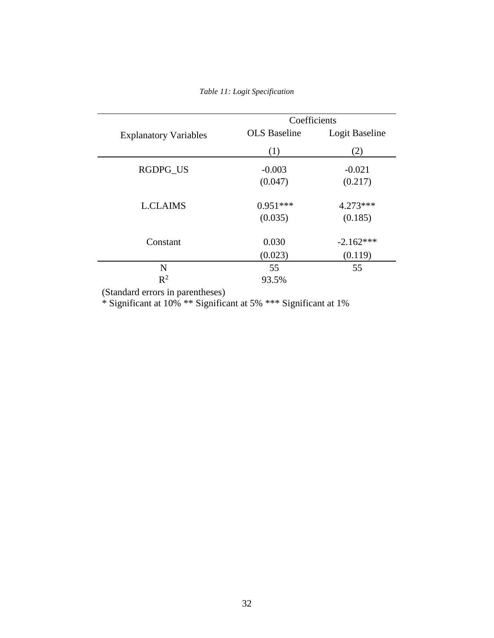<span id="page-38-0"></span>

|                              | Coefficients        |                |  |  |
|------------------------------|---------------------|----------------|--|--|
| <b>Explanatory Variables</b> | <b>OLS</b> Baseline | Logit Baseline |  |  |
|                              | (1)                 | (2)            |  |  |
| <b>RGDPG US</b>              | $-0.003$            | $-0.021$       |  |  |
|                              | (0.047)             | (0.217)        |  |  |
| <b>L.CLAIMS</b>              | $0.951***$          | $4.273***$     |  |  |
|                              | (0.035)             | (0.185)        |  |  |
| Constant                     | 0.030               | $-2.162***$    |  |  |
|                              | (0.023)             | (0.119)        |  |  |
| N                            | 55                  | 55             |  |  |
| $R^2$                        | 93.5%               |                |  |  |

(Standard errors in parentheses)

\* Significant at 10% \*\* Significant at 5% \*\*\* Significant at 1%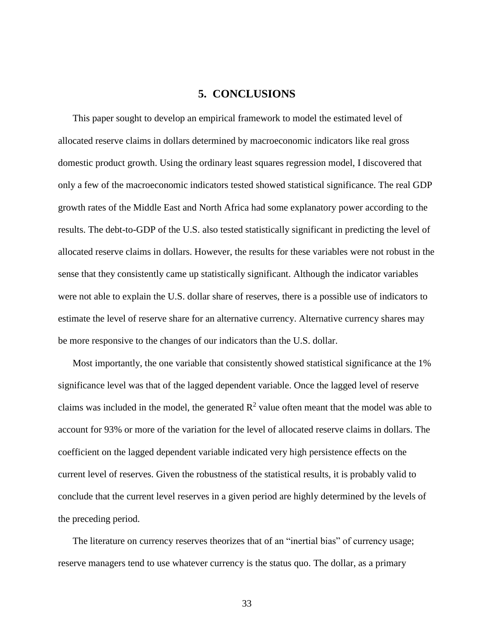# **5. CONCLUSIONS**

<span id="page-39-0"></span>This paper sought to develop an empirical framework to model the estimated level of allocated reserve claims in dollars determined by macroeconomic indicators like real gross domestic product growth. Using the ordinary least squares regression model, I discovered that only a few of the macroeconomic indicators tested showed statistical significance. The real GDP growth rates of the Middle East and North Africa had some explanatory power according to the results. The debt-to-GDP of the U.S. also tested statistically significant in predicting the level of allocated reserve claims in dollars. However, the results for these variables were not robust in the sense that they consistently came up statistically significant. Although the indicator variables were not able to explain the U.S. dollar share of reserves, there is a possible use of indicators to estimate the level of reserve share for an alternative currency. Alternative currency shares may be more responsive to the changes of our indicators than the U.S. dollar.

Most importantly, the one variable that consistently showed statistical significance at the 1% significance level was that of the lagged dependent variable. Once the lagged level of reserve claims was included in the model, the generated  $R^2$  value often meant that the model was able to account for 93% or more of the variation for the level of allocated reserve claims in dollars. The coefficient on the lagged dependent variable indicated very high persistence effects on the current level of reserves. Given the robustness of the statistical results, it is probably valid to conclude that the current level reserves in a given period are highly determined by the levels of the preceding period.

The literature on currency reserves theorizes that of an "inertial bias" of currency usage; reserve managers tend to use whatever currency is the status quo. The dollar, as a primary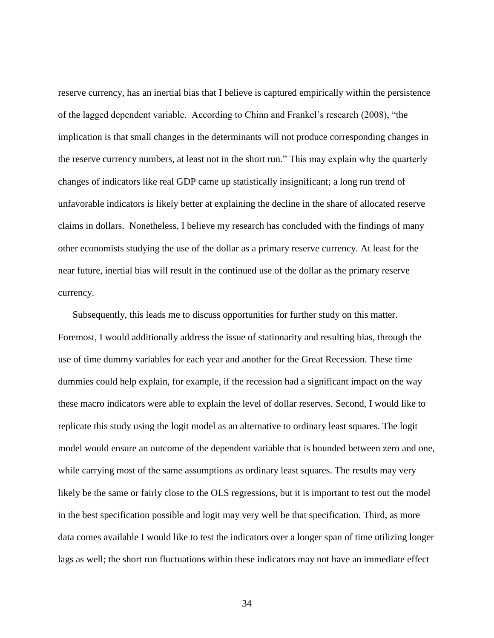reserve currency, has an inertial bias that I believe is captured empirically within the persistence of the lagged dependent variable. According to Chinn and Frankel's research (2008), "the implication is that small changes in the determinants will not produce corresponding changes in the reserve currency numbers, at least not in the short run." This may explain why the quarterly changes of indicators like real GDP came up statistically insignificant; a long run trend of unfavorable indicators is likely better at explaining the decline in the share of allocated reserve claims in dollars. Nonetheless, I believe my research has concluded with the findings of many other economists studying the use of the dollar as a primary reserve currency. At least for the near future, inertial bias will result in the continued use of the dollar as the primary reserve currency.

Subsequently, this leads me to discuss opportunities for further study on this matter. Foremost, I would additionally address the issue of stationarity and resulting bias, through the use of time dummy variables for each year and another for the Great Recession. These time dummies could help explain, for example, if the recession had a significant impact on the way these macro indicators were able to explain the level of dollar reserves. Second, I would like to replicate this study using the logit model as an alternative to ordinary least squares. The logit model would ensure an outcome of the dependent variable that is bounded between zero and one, while carrying most of the same assumptions as ordinary least squares. The results may very likely be the same or fairly close to the OLS regressions, but it is important to test out the model in the best specification possible and logit may very well be that specification. Third, as more data comes available I would like to test the indicators over a longer span of time utilizing longer lags as well; the short run fluctuations within these indicators may not have an immediate effect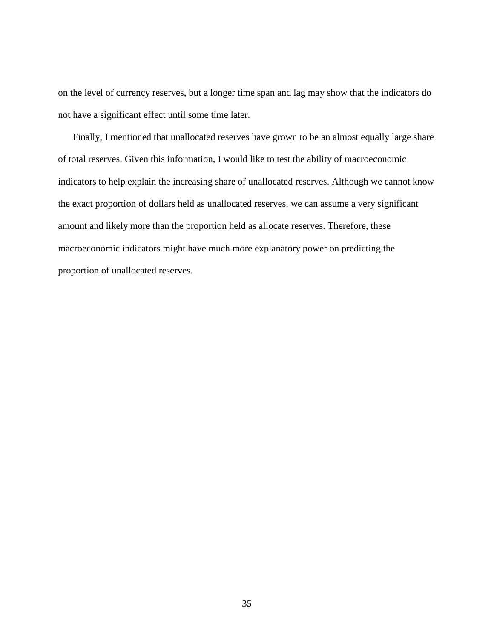on the level of currency reserves, but a longer time span and lag may show that the indicators do not have a significant effect until some time later.

Finally, I mentioned that unallocated reserves have grown to be an almost equally large share of total reserves. Given this information, I would like to test the ability of macroeconomic indicators to help explain the increasing share of unallocated reserves. Although we cannot know the exact proportion of dollars held as unallocated reserves, we can assume a very significant amount and likely more than the proportion held as allocate reserves. Therefore, these macroeconomic indicators might have much more explanatory power on predicting the proportion of unallocated reserves.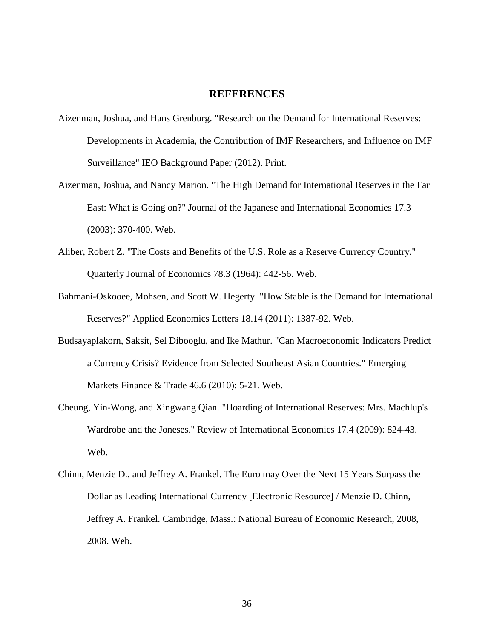## **REFERENCES**

- <span id="page-42-0"></span>Aizenman, Joshua, and Hans Grenburg. "Research on the Demand for International Reserves: Developments in Academia, the Contribution of IMF Researchers, and Influence on IMF Surveillance" IEO Background Paper (2012). Print.
- Aizenman, Joshua, and Nancy Marion. "The High Demand for International Reserves in the Far East: What is Going on?" Journal of the Japanese and International Economies 17.3 (2003): 370-400. Web.
- Aliber, Robert Z. "The Costs and Benefits of the U.S. Role as a Reserve Currency Country." Quarterly Journal of Economics 78.3 (1964): 442-56. Web.
- Bahmani-Oskooee, Mohsen, and Scott W. Hegerty. "How Stable is the Demand for International Reserves?" Applied Economics Letters 18.14 (2011): 1387-92. Web.
- Budsayaplakorn, Saksit, Sel Dibooglu, and Ike Mathur. "Can Macroeconomic Indicators Predict a Currency Crisis? Evidence from Selected Southeast Asian Countries." Emerging Markets Finance & Trade 46.6 (2010): 5-21. Web.
- Cheung, Yin-Wong, and Xingwang Qian. "Hoarding of International Reserves: Mrs. Machlup's Wardrobe and the Joneses." Review of International Economics 17.4 (2009): 824-43. Web.
- Chinn, Menzie D., and Jeffrey A. Frankel. The Euro may Over the Next 15 Years Surpass the Dollar as Leading International Currency [Electronic Resource] / Menzie D. Chinn, Jeffrey A. Frankel. Cambridge, Mass.: National Bureau of Economic Research, 2008, 2008. Web.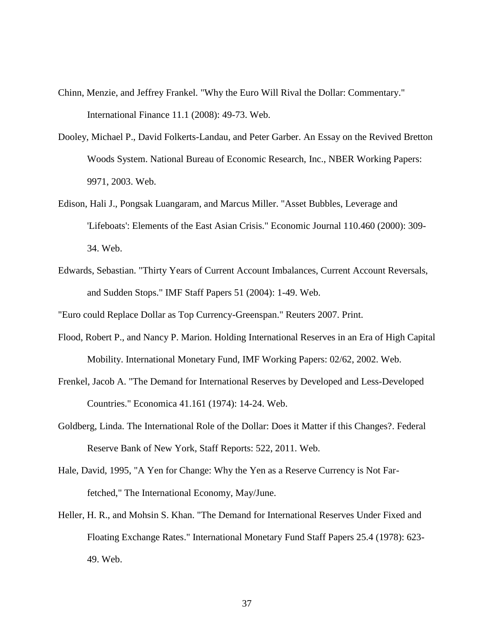- Chinn, Menzie, and Jeffrey Frankel. "Why the Euro Will Rival the Dollar: Commentary." International Finance 11.1 (2008): 49-73. Web.
- Dooley, Michael P., David Folkerts-Landau, and Peter Garber. An Essay on the Revived Bretton Woods System. National Bureau of Economic Research, Inc., NBER Working Papers: 9971, 2003. Web.
- Edison, Hali J., Pongsak Luangaram, and Marcus Miller. "Asset Bubbles, Leverage and 'Lifeboats': Elements of the East Asian Crisis." Economic Journal 110.460 (2000): 309- 34. Web.
- Edwards, Sebastian. "Thirty Years of Current Account Imbalances, Current Account Reversals, and Sudden Stops." IMF Staff Papers 51 (2004): 1-49. Web.

"Euro could Replace Dollar as Top Currency-Greenspan." Reuters 2007. Print.

- Flood, Robert P., and Nancy P. Marion. Holding International Reserves in an Era of High Capital Mobility. International Monetary Fund, IMF Working Papers: 02/62, 2002. Web.
- Frenkel, Jacob A. "The Demand for International Reserves by Developed and Less-Developed Countries." Economica 41.161 (1974): 14-24. Web.
- Goldberg, Linda. The International Role of the Dollar: Does it Matter if this Changes?. Federal Reserve Bank of New York, Staff Reports: 522, 2011. Web.
- Hale, David, 1995, "A Yen for Change: Why the Yen as a Reserve Currency is Not Farfetched," The International Economy, May/June.
- Heller, H. R., and Mohsin S. Khan. "The Demand for International Reserves Under Fixed and Floating Exchange Rates." International Monetary Fund Staff Papers 25.4 (1978): 623- 49. Web.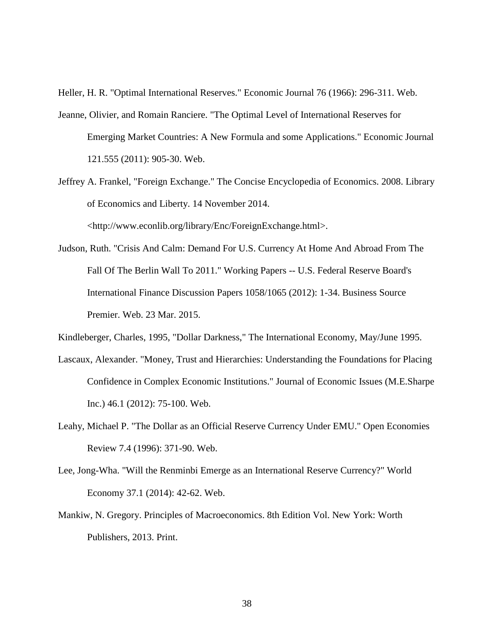Heller, H. R. "Optimal International Reserves." Economic Journal 76 (1966): 296-311. Web.

- Jeanne, Olivier, and Romain Ranciere. "The Optimal Level of International Reserves for Emerging Market Countries: A New Formula and some Applications." Economic Journal 121.555 (2011): 905-30. Web.
- Jeffrey A. Frankel, "Foreign Exchange." The Concise Encyclopedia of Economics. 2008. Library of Economics and Liberty. 14 November 2014.

<http://www.econlib.org/library/Enc/ForeignExchange.html>.

Judson, Ruth. "Crisis And Calm: Demand For U.S. Currency At Home And Abroad From The Fall Of The Berlin Wall To 2011." Working Papers -- U.S. Federal Reserve Board's International Finance Discussion Papers 1058/1065 (2012): 1-34. Business Source Premier. Web. 23 Mar. 2015.

Kindleberger, Charles, 1995, "Dollar Darkness," The International Economy, May/June 1995.

- Lascaux, Alexander. "Money, Trust and Hierarchies: Understanding the Foundations for Placing Confidence in Complex Economic Institutions." Journal of Economic Issues (M.E.Sharpe Inc.) 46.1 (2012): 75-100. Web.
- Leahy, Michael P. "The Dollar as an Official Reserve Currency Under EMU." Open Economies Review 7.4 (1996): 371-90. Web.
- Lee, Jong-Wha. "Will the Renminbi Emerge as an International Reserve Currency?" World Economy 37.1 (2014): 42-62. Web.
- Mankiw, N. Gregory. Principles of Macroeconomics. 8th Edition Vol. New York: Worth Publishers, 2013. Print.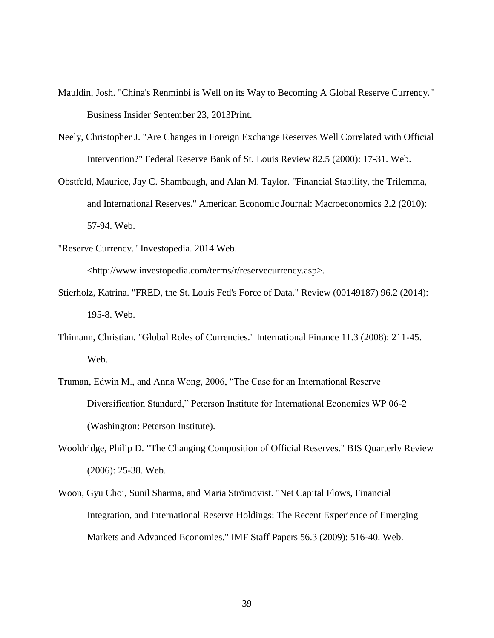- Mauldin, Josh. "China's Renminbi is Well on its Way to Becoming A Global Reserve Currency." Business Insider September 23, 2013Print.
- Neely, Christopher J. "Are Changes in Foreign Exchange Reserves Well Correlated with Official Intervention?" Federal Reserve Bank of St. Louis Review 82.5 (2000): 17-31. Web.
- Obstfeld, Maurice, Jay C. Shambaugh, and Alan M. Taylor. "Financial Stability, the Trilemma, and International Reserves." American Economic Journal: Macroeconomics 2.2 (2010): 57-94. Web.
- "Reserve Currency." Investopedia. 2014.Web.

<http://www.investopedia.com/terms/r/reservecurrency.asp>.

- Stierholz, Katrina. "FRED, the St. Louis Fed's Force of Data." Review (00149187) 96.2 (2014): 195-8. Web.
- Thimann, Christian. "Global Roles of Currencies." International Finance 11.3 (2008): 211-45. Web.
- Truman, Edwin M., and Anna Wong, 2006, "The Case for an International Reserve Diversification Standard," Peterson Institute for International Economics WP 06-2 (Washington: Peterson Institute).
- Wooldridge, Philip D. "The Changing Composition of Official Reserves." BIS Quarterly Review (2006): 25-38. Web.
- Woon, Gyu Choi, Sunil Sharma, and Maria Strömqvist. "Net Capital Flows, Financial Integration, and International Reserve Holdings: The Recent Experience of Emerging Markets and Advanced Economies." IMF Staff Papers 56.3 (2009): 516-40. Web.